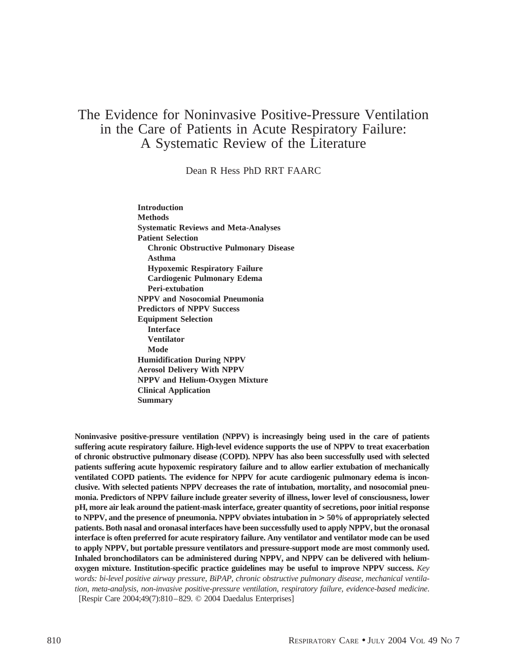# The Evidence for Noninvasive Positive-Pressure Ventilation in the Care of Patients in Acute Respiratory Failure: A Systematic Review of the Literature

Dean R Hess PhD RRT FAARC

**Introduction Methods Systematic Reviews and Meta-Analyses Patient Selection Chronic Obstructive Pulmonary Disease Asthma Hypoxemic Respiratory Failure Cardiogenic Pulmonary Edema Peri-extubation NPPV and Nosocomial Pneumonia Predictors of NPPV Success Equipment Selection Interface Ventilator Mode Humidification During NPPV Aerosol Delivery With NPPV NPPV and Helium-Oxygen Mixture Clinical Application Summary**

**Noninvasive positive-pressure ventilation (NPPV) is increasingly being used in the care of patients suffering acute respiratory failure. High-level evidence supports the use of NPPV to treat exacerbation of chronic obstructive pulmonary disease (COPD). NPPV has also been successfully used with selected patients suffering acute hypoxemic respiratory failure and to allow earlier extubation of mechanically ventilated COPD patients. The evidence for NPPV for acute cardiogenic pulmonary edema is inconclusive. With selected patients NPPV decreases the rate of intubation, mortality, and nosocomial pneumonia. Predictors of NPPV failure include greater severity of illness, lower level of consciousness, lower pH, more air leak around the patient-mask interface, greater quantity of secretions, poor initial response to NPPV, and the presence of pneumonia. NPPV obviates intubation in > 50% of appropriately selected patients. Both nasal and oronasal interfaces have been successfully used to apply NPPV, but the oronasal interface is often preferred for acute respiratory failure. Any ventilator and ventilator mode can be used to apply NPPV, but portable pressure ventilators and pressure-support mode are most commonly used. Inhaled bronchodilators can be administered during NPPV, and NPPV can be delivered with heliumoxygen mixture. Institution-specific practice guidelines may be useful to improve NPPV success.** *Key words: bi-level positive airway pressure, BiPAP, chronic obstructive pulmonary disease, mechanical ventilation, meta-analysis, non-invasive positive-pressure ventilation, respiratory failure, evidence-based medicine*. [Respir Care 2004;49(7):810–829. © 2004 Daedalus Enterprises]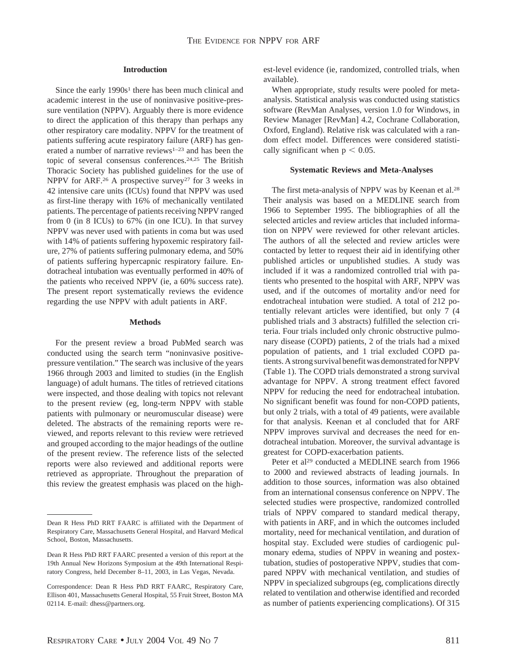## **Introduction**

Since the early  $1990s<sup>1</sup>$  there has been much clinical and academic interest in the use of noninvasive positive-pressure ventilation (NPPV). Arguably there is more evidence to direct the application of this therapy than perhaps any other respiratory care modality. NPPV for the treatment of patients suffering acute respiratory failure (ARF) has generated a number of narrative reviews<sup>1-23</sup> and has been the topic of several consensus conferences.24,25 The British Thoracic Society has published guidelines for the use of NPPV for ARF.<sup>26</sup> A prospective survey<sup>27</sup> for 3 weeks in 42 intensive care units (ICUs) found that NPPV was used as first-line therapy with 16% of mechanically ventilated patients. The percentage of patients receiving NPPV ranged from 0 (in 8 ICUs) to 67% (in one ICU). In that survey NPPV was never used with patients in coma but was used with 14% of patients suffering hypoxemic respiratory failure, 27% of patients suffering pulmonary edema, and 50% of patients suffering hypercapnic respiratory failure. Endotracheal intubation was eventually performed in 40% of the patients who received NPPV (ie, a 60% success rate). The present report systematically reviews the evidence regarding the use NPPV with adult patients in ARF.

## **Methods**

For the present review a broad PubMed search was conducted using the search term "noninvasive positivepressure ventilation." The search was inclusive of the years 1966 through 2003 and limited to studies (in the English language) of adult humans. The titles of retrieved citations were inspected, and those dealing with topics not relevant to the present review (eg, long-term NPPV with stable patients with pulmonary or neuromuscular disease) were deleted. The abstracts of the remaining reports were reviewed, and reports relevant to this review were retrieved and grouped according to the major headings of the outline of the present review. The reference lists of the selected reports were also reviewed and additional reports were retrieved as appropriate. Throughout the preparation of this review the greatest emphasis was placed on the highest-level evidence (ie, randomized, controlled trials, when available).

When appropriate, study results were pooled for metaanalysis. Statistical analysis was conducted using statistics software (RevMan Analyses, version 1.0 for Windows, in Review Manager [RevMan] 4.2, Cochrane Collaboration, Oxford, England). Relative risk was calculated with a random effect model. Differences were considered statistically significant when  $p < 0.05$ .

## **Systematic Reviews and Meta-Analyses**

The first meta-analysis of NPPV was by Keenan et al.28 Their analysis was based on a MEDLINE search from 1966 to September 1995. The bibliographies of all the selected articles and review articles that included information on NPPV were reviewed for other relevant articles. The authors of all the selected and review articles were contacted by letter to request their aid in identifying other published articles or unpublished studies. A study was included if it was a randomized controlled trial with patients who presented to the hospital with ARF, NPPV was used, and if the outcomes of mortality and/or need for endotracheal intubation were studied. A total of 212 potentially relevant articles were identified, but only 7 (4 published trials and 3 abstracts) fulfilled the selection criteria. Four trials included only chronic obstructive pulmonary disease (COPD) patients, 2 of the trials had a mixed population of patients, and 1 trial excluded COPD patients. A strong survival benefit was demonstrated for NPPV (Table 1). The COPD trials demonstrated a strong survival advantage for NPPV. A strong treatment effect favored NPPV for reducing the need for endotracheal intubation. No significant benefit was found for non-COPD patients, but only 2 trials, with a total of 49 patients, were available for that analysis. Keenan et al concluded that for ARF NPPV improves survival and decreases the need for endotracheal intubation. Moreover, the survival advantage is greatest for COPD-exacerbation patients.

Peter et al<sup>29</sup> conducted a MEDLINE search from 1966 to 2000 and reviewed abstracts of leading journals. In addition to those sources, information was also obtained from an international consensus conference on NPPV. The selected studies were prospective, randomized controlled trials of NPPV compared to standard medical therapy, with patients in ARF, and in which the outcomes included mortality, need for mechanical ventilation, and duration of hospital stay. Excluded were studies of cardiogenic pulmonary edema, studies of NPPV in weaning and postextubation, studies of postoperative NPPV, studies that compared NPPV with mechanical ventilation, and studies of NPPV in specialized subgroups (eg, complications directly related to ventilation and otherwise identified and recorded as number of patients experiencing complications). Of 315

Dean R Hess PhD RRT FAARC is affiliated with the Department of Respiratory Care, Massachusetts General Hospital, and Harvard Medical School, Boston, Massachusetts.

Dean R Hess PhD RRT FAARC presented a version of this report at the 19th Annual New Horizons Symposium at the 49th International Respiratory Congress, held December 8–11, 2003, in Las Vegas, Nevada.

Correspondence: Dean R Hess PhD RRT FAARC, Respiratory Care, Ellison 401, Massachusetts General Hospital, 55 Fruit Street, Boston MA 02114. E-mail: dhess@partners.org.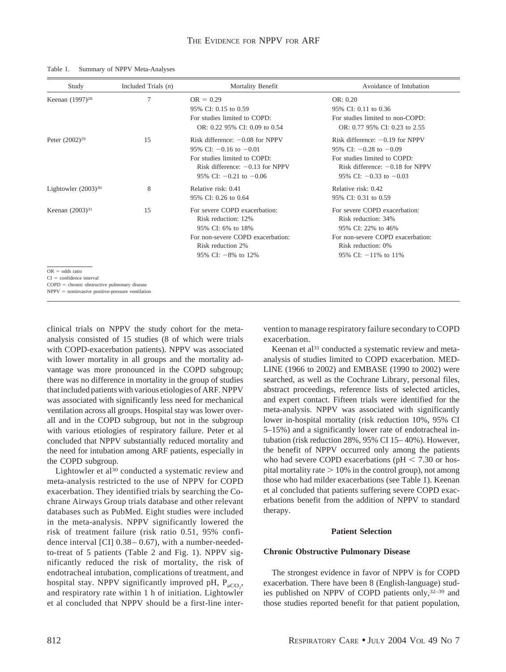| Study                                                                                                                                                   | Included Trials $(n)$ | Mortality Benefit                                                                                                                                                  | Avoidance of Intubation                                                                                                                                            |
|---------------------------------------------------------------------------------------------------------------------------------------------------------|-----------------------|--------------------------------------------------------------------------------------------------------------------------------------------------------------------|--------------------------------------------------------------------------------------------------------------------------------------------------------------------|
| Keenan (1997) <sup>28</sup>                                                                                                                             | 7                     | $OR = 0.29$<br>95% CI: 0.15 to 0.59<br>For studies limited to COPD:<br>OR: $0.22$ 95% CI: $0.09$ to $0.54$                                                         | OR: 0.20<br>95% CI: 0.11 to 0.36<br>For studies limited to non-COPD:<br>OR: 0.77 95% CI: 0.23 to 2.55                                                              |
| Peter (2002) <sup>29</sup>                                                                                                                              | 15                    | Risk difference: $-0.08$ for NPPV<br>95% CI: $-0.16$ to $-0.01$<br>For studies limited to COPD:<br>Risk difference: $-0.13$ for NPPV<br>95% CI: $-0.21$ to $-0.06$ | Risk difference: $-0.19$ for NPPV<br>95% CI: $-0.28$ to $-0.09$<br>For studies limited to COPD:<br>Risk difference: $-0.18$ for NPPV<br>95% CI: $-0.33$ to $-0.03$ |
| Lightowler $(2003)^{30}$                                                                                                                                | 8                     | Relative risk: 0.41<br>95% CI: 0.26 to 0.64                                                                                                                        | Relative risk: 0.42<br>95% CI: 0.31 to 0.59                                                                                                                        |
| Keenan $(2003)^{31}$                                                                                                                                    | 15                    | For severe COPD exacerbation:<br>Risk reduction: 12%<br>95% CI: 6% to 18%<br>For non-severe COPD exacerbation:<br>Risk reduction 2%                                | For severe COPD exacerbation:<br>Risk reduction: 34%<br>95% CI: 22% to 46%<br>For non-severe COPD exacerbation:<br>Risk reduction: 0%                              |
| $OR = odds ratio$<br>$CI = confidence$ interval<br>$COPD =$ chronic obstructive pulmonary disease<br>$NPPV = noninvasive positive-pressure ventilation$ |                       | 95% CI: $-8\%$ to 12%                                                                                                                                              | 95% CI: $-11\%$ to 11%                                                                                                                                             |

Table 1. Summary of NPPV Meta-Analyses

clinical trials on NPPV the study cohort for the metaanalysis consisted of 15 studies (8 of which were trials with COPD-exacerbation patients). NPPV was associated with lower mortality in all groups and the mortality advantage was more pronounced in the COPD subgroup; there was no difference in mortality in the group of studies that included patients with various etiologies of ARF. NPPV was associated with significantly less need for mechanical ventilation across all groups. Hospital stay was lower overall and in the COPD subgroup, but not in the subgroup with various etiologies of respiratory failure. Peter et al concluded that NPPV substantially reduced mortality and the need for intubation among ARF patients, especially in the COPD subgroup.

Lightowler et al<sup>30</sup> conducted a systematic review and meta-analysis restricted to the use of NPPV for COPD exacerbation. They identified trials by searching the Cochrane Airways Group trials database and other relevant databases such as PubMed. Eight studies were included in the meta-analysis. NPPV significantly lowered the risk of treatment failure (risk ratio 0.51, 95% confidence interval [CI]  $0.38 - 0.67$ ), with a number-neededto-treat of 5 patients (Table 2 and Fig. 1). NPPV significantly reduced the risk of mortality, the risk of endotracheal intubation, complications of treatment, and hospital stay. NPPV significantly improved pH,  $P_{aCO_2}$ , and respiratory rate within 1 h of initiation. Lightowler et al concluded that NPPV should be a first-line intervention to manage respiratory failure secondary to COPD exacerbation.

Keenan et al<sup>31</sup> conducted a systematic review and metaanalysis of studies limited to COPD exacerbation. MED-LINE (1966 to 2002) and EMBASE (1990 to 2002) were searched, as well as the Cochrane Library, personal files, abstract proceedings, reference lists of selected articles, and expert contact. Fifteen trials were identified for the meta-analysis. NPPV was associated with significantly lower in-hospital mortality (risk reduction 10%, 95% CI 5–15%) and a significantly lower rate of endotracheal intubation (risk reduction 28%, 95% CI 15– 40%). However, the benefit of NPPV occurred only among the patients who had severe COPD exacerbations ( $pH < 7.30$  or hospital mortality rate  $> 10\%$  in the control group), not among those who had milder exacerbations (see Table 1). Keenan et al concluded that patients suffering severe COPD exacerbations benefit from the addition of NPPV to standard therapy.

## **Patient Selection**

## **Chronic Obstructive Pulmonary Disease**

The strongest evidence in favor of NPPV is for COPD exacerbation. There have been 8 (English-language) studies published on NPPV of COPD patients only,32–39 and those studies reported benefit for that patient population,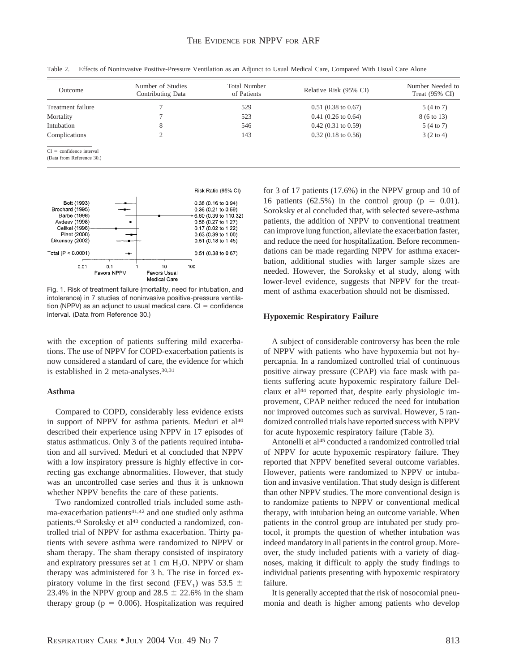| Outcome                                                 | Number of Studies<br>Contributing Data | <b>Total Number</b><br>of Patients | Relative Risk (95% CI)        | Number Needed to<br>Treat $(95\% \text{ CI})$ |
|---------------------------------------------------------|----------------------------------------|------------------------------------|-------------------------------|-----------------------------------------------|
| Treatment failure                                       |                                        | 529                                | $0.51(0.38 \text{ to } 0.67)$ | 5 (4 to 7)                                    |
| Mortality                                               |                                        | 523                                | $0.41(0.26 \text{ to } 0.64)$ | 8 (6 to 13)                                   |
| Intubation                                              | 8                                      | 546                                | $0.42(0.31 \text{ to } 0.59)$ | 5 (4 to 7)                                    |
| Complications                                           | ◠<br>∠                                 | 143                                | $0.32(0.18 \text{ to } 0.56)$ | $3(2 \text{ to } 4)$                          |
| $CI = confidence$ interval<br>(Data from Reference 30.) |                                        |                                    |                               |                                               |

Table 2. Effects of Noninvasive Positive-Pressure Ventilation as an Adjunct to Usual Medical Care, Compared With Usual Care Alone



Fig. 1. Risk of treatment failure (mortality, need for intubation, and intolerance) in 7 studies of noninvasive positive-pressure ventilation (NPPV) as an adjunct to usual medical care.  $CI =$  confidence interval. (Data from Reference 30.)

with the exception of patients suffering mild exacerbations. The use of NPPV for COPD-exacerbation patients is now considered a standard of care, the evidence for which is established in 2 meta-analyses.<sup>30,31</sup>

## **Asthma**

Compared to COPD, considerably less evidence exists in support of NPPV for asthma patients. Meduri et al<sup>40</sup> described their experience using NPPV in 17 episodes of status asthmaticus. Only 3 of the patients required intubation and all survived. Meduri et al concluded that NPPV with a low inspiratory pressure is highly effective in correcting gas exchange abnormalities. However, that study was an uncontrolled case series and thus it is unknown whether NPPV benefits the care of these patients.

Two randomized controlled trials included some asthma-exacerbation patients<sup>41,42</sup> and one studied only asthma patients.<sup>43</sup> Soroksky et al<sup>43</sup> conducted a randomized, controlled trial of NPPV for asthma exacerbation. Thirty patients with severe asthma were randomized to NPPV or sham therapy. The sham therapy consisted of inspiratory and expiratory pressures set at 1 cm  $H_2O$ . NPPV or sham therapy was administered for 3 h. The rise in forced expiratory volume in the first second (FEV<sub>1</sub>) was 53.5  $\pm$ 23.4% in the NPPV group and  $28.5 \pm 22.6$ % in the sham therapy group ( $p = 0.006$ ). Hospitalization was required for 3 of 17 patients (17.6%) in the NPPV group and 10 of 16 patients (62.5%) in the control group ( $p = 0.01$ ). Soroksky et al concluded that, with selected severe-asthma patients, the addition of NPPV to conventional treatment can improve lung function, alleviate the exacerbation faster, and reduce the need for hospitalization. Before recommendations can be made regarding NPPV for asthma exacerbation, additional studies with larger sample sizes are needed. However, the Soroksky et al study, along with lower-level evidence, suggests that NPPV for the treatment of asthma exacerbation should not be dismissed.

## **Hypoxemic Respiratory Failure**

A subject of considerable controversy has been the role of NPPV with patients who have hypoxemia but not hypercapnia. In a randomized controlled trial of continuous positive airway pressure (CPAP) via face mask with patients suffering acute hypoxemic respiratory failure Delclaux et al<sup>44</sup> reported that, despite early physiologic improvement, CPAP neither reduced the need for intubation nor improved outcomes such as survival. However, 5 randomized controlled trials have reported success with NPPV for acute hypoxemic respiratory failure (Table 3).

Antonelli et al<sup>45</sup> conducted a randomized controlled trial of NPPV for acute hypoxemic respiratory failure. They reported that NPPV benefited several outcome variables. However, patients were randomized to NPPV or intubation and invasive ventilation. That study design is different than other NPPV studies. The more conventional design is to randomize patients to NPPV or conventional medical therapy, with intubation being an outcome variable. When patients in the control group are intubated per study protocol, it prompts the question of whether intubation was indeed mandatory in all patients in the control group. Moreover, the study included patients with a variety of diagnoses, making it difficult to apply the study findings to individual patients presenting with hypoxemic respiratory failure.

It is generally accepted that the risk of nosocomial pneumonia and death is higher among patients who develop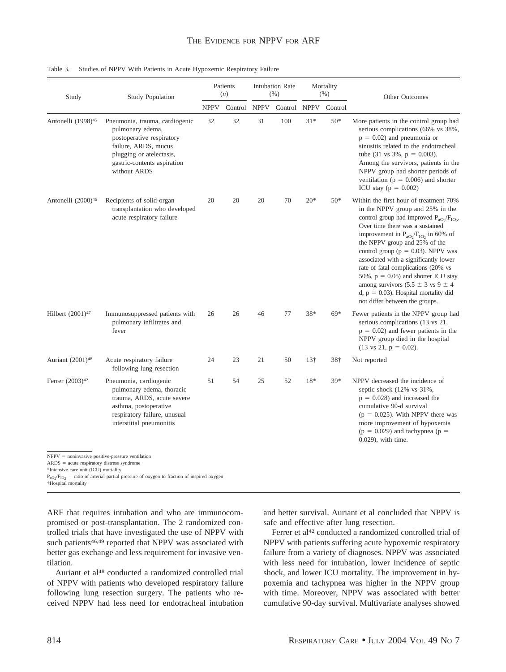|  |  |  |  | Table 3. Studies of NPPV With Patients in Acute Hypoxemic Respiratory Failure |
|--|--|--|--|-------------------------------------------------------------------------------|
|--|--|--|--|-------------------------------------------------------------------------------|

| Study                                                                                                                                      | <b>Study Population</b>                                                                                                                                                            | Patients<br>(n) |         | <b>Intubation Rate</b><br>(% ) |              | Mortality<br>(% ) |         | Other Outcomes                                                                                                                                                                                                                                                                                                                                                                                                                                                                                                                                      |
|--------------------------------------------------------------------------------------------------------------------------------------------|------------------------------------------------------------------------------------------------------------------------------------------------------------------------------------|-----------------|---------|--------------------------------|--------------|-------------------|---------|-----------------------------------------------------------------------------------------------------------------------------------------------------------------------------------------------------------------------------------------------------------------------------------------------------------------------------------------------------------------------------------------------------------------------------------------------------------------------------------------------------------------------------------------------------|
|                                                                                                                                            |                                                                                                                                                                                    | <b>NPPV</b>     | Control | <b>NPPV</b>                    | Control NPPV |                   | Control |                                                                                                                                                                                                                                                                                                                                                                                                                                                                                                                                                     |
| Antonelli (1998) <sup>45</sup>                                                                                                             | Pneumonia, trauma, cardiogenic<br>pulmonary edema,<br>postoperative respiratory<br>failure, ARDS, mucus<br>plugging or atelectasis,<br>gastric-contents aspiration<br>without ARDS | 32              | 32      | 31                             | 100          | $31*$             | $50*$   | More patients in the control group had<br>serious complications (66% vs 38%,<br>$p = 0.02$ ) and pneumonia or<br>sinusitis related to the endotracheal<br>tube $(31 \text{ vs } 3\%, \text{ p} = 0.003)$ .<br>Among the survivors, patients in the<br>NPPV group had shorter periods of<br>ventilation ( $p = 0.006$ ) and shorter<br>ICU stay ( $p = 0.002$ )                                                                                                                                                                                      |
| Antonelli (2000) <sup>46</sup>                                                                                                             | Recipients of solid-organ<br>transplantation who developed<br>acute respiratory failure                                                                                            | 20              | 20      | 20                             | 70           | $20*$             | $50*$   | Within the first hour of treatment 70%<br>in the NPPV group and 25% in the<br>control group had improved $P_{aOy}/F_{IOy}$ .<br>Over time there was a sustained<br>improvement in $P_{aO} / F_{IO}$ , in 60% of<br>the NPPV group and 25% of the<br>control group ( $p = 0.03$ ). NPPV was<br>associated with a significantly lower<br>rate of fatal complications (20% vs<br>50%, $p = 0.05$ and shorter ICU stay<br>among survivors $(5.5 \pm 3 \text{ vs } 9 \pm 4)$<br>$d, p = 0.03$ . Hospital mortality did<br>not differ between the groups. |
| Hilbert $(2001)^{47}$                                                                                                                      | Immunosuppressed patients with<br>pulmonary infiltrates and<br>fever                                                                                                               | 26              | 26      | 46                             | 77           | 38*               | $69*$   | Fewer patients in the NPPV group had<br>serious complications (13 vs 21,<br>$p = 0.02$ ) and fewer patients in the<br>NPPV group died in the hospital<br>$(13 \text{ vs } 21, \text{ p} = 0.02).$                                                                                                                                                                                                                                                                                                                                                   |
| Auriant (2001) <sup>48</sup>                                                                                                               | Acute respiratory failure<br>following lung resection                                                                                                                              | 24              | 23      | 21                             | 50           | 13 <sup>†</sup>   | 38†     | Not reported                                                                                                                                                                                                                                                                                                                                                                                                                                                                                                                                        |
| Ferrer (2003) <sup>42</sup>                                                                                                                | Pneumonia, cardiogenic<br>pulmonary edema, thoracic<br>trauma, ARDS, acute severe<br>asthma, postoperative<br>respiratory failure, unusual<br>interstitial pneumonitis             | 51              | 54      | 25                             | 52           | 18*               | 39*     | NPPV decreased the incidence of<br>septic shock (12% vs 31%,<br>$p = 0.028$ ) and increased the<br>cumulative 90-d survival<br>$(p = 0.025)$ . With NPPV there was<br>more improvement of hypoxemia<br>$(p = 0.029)$ and tachypnea $(p =$<br>0.029), with time.                                                                                                                                                                                                                                                                                     |
| $NPPV = noninvasive positive-pressure ventilation$<br>$ARDS = acute$ respiratory distress syndrome<br>*Intensive care unit (ICU) mortality | $P_{0.0}P_{10.0}$ = ratio of arterial partial pressure of oxygen to fraction of inspired oxygen                                                                                    |                 |         |                                |              |                   |         |                                                                                                                                                                                                                                                                                                                                                                                                                                                                                                                                                     |

†Hospital mortality

ARF that requires intubation and who are immunocompromised or post-transplantation. The 2 randomized controlled trials that have investigated the use of NPPV with such patients<sup>46,49</sup> reported that NPPV was associated with better gas exchange and less requirement for invasive ventilation.

Auriant et al<sup>48</sup> conducted a randomized controlled trial of NPPV with patients who developed respiratory failure following lung resection surgery. The patients who received NPPV had less need for endotracheal intubation and better survival. Auriant et al concluded that NPPV is safe and effective after lung resection.

Ferrer et al<sup>42</sup> conducted a randomized controlled trial of NPPV with patients suffering acute hypoxemic respiratory failure from a variety of diagnoses. NPPV was associated with less need for intubation, lower incidence of septic shock, and lower ICU mortality. The improvement in hypoxemia and tachypnea was higher in the NPPV group with time. Moreover, NPPV was associated with better cumulative 90-day survival. Multivariate analyses showed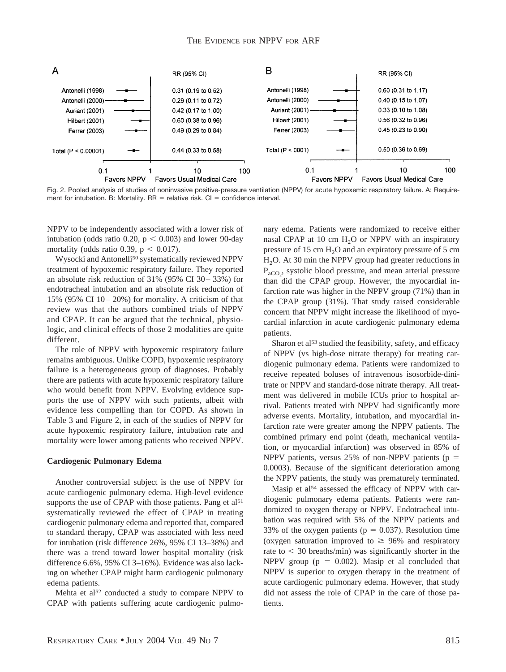

Fig. 2. Pooled analysis of studies of noninvasive positive-pressure ventilation (NPPV) for acute hypoxemic respiratory failure. A: Requirement for intubation. B: Mortality.  $RR =$  relative risk.  $Cl =$  confidence interval.

NPPV to be independently associated with a lower risk of intubation (odds ratio 0.20,  $p < 0.003$ ) and lower 90-day mortality (odds ratio 0.39,  $p < 0.017$ ).

Wysocki and Antonelli50 systematically reviewed NPPV treatment of hypoxemic respiratory failure. They reported an absolute risk reduction of 31% (95% CI 30– 33%) for endotracheal intubation and an absolute risk reduction of 15% (95% CI 10– 20%) for mortality. A criticism of that review was that the authors combined trials of NPPV and CPAP. It can be argued that the technical, physiologic, and clinical effects of those 2 modalities are quite different.

The role of NPPV with hypoxemic respiratory failure remains ambiguous. Unlike COPD, hypoxemic respiratory failure is a heterogeneous group of diagnoses. Probably there are patients with acute hypoxemic respiratory failure who would benefit from NPPV. Evolving evidence supports the use of NPPV with such patients, albeit with evidence less compelling than for COPD. As shown in Table 3 and Figure 2, in each of the studies of NPPV for acute hypoxemic respiratory failure, intubation rate and mortality were lower among patients who received NPPV.

## **Cardiogenic Pulmonary Edema**

Another controversial subject is the use of NPPV for acute cardiogenic pulmonary edema. High-level evidence supports the use of CPAP with those patients. Pang et al<sup>51</sup> systematically reviewed the effect of CPAP in treating cardiogenic pulmonary edema and reported that, compared to standard therapy, CPAP was associated with less need for intubation (risk difference 26%, 95% CI 13–38%) and there was a trend toward lower hospital mortality (risk difference 6.6%, 95% CI 3–16%). Evidence was also lacking on whether CPAP might harm cardiogenic pulmonary edema patients.

Mehta et al<sup>52</sup> conducted a study to compare NPPV to CPAP with patients suffering acute cardiogenic pulmonary edema. Patients were randomized to receive either nasal CPAP at 10 cm  $H<sub>2</sub>O$  or NPPV with an inspiratory pressure of 15 cm  $H_2O$  and an expiratory pressure of 5 cm H<sub>2</sub>O. At 30 min the NPPV group had greater reductions in P<sub>aCO2</sub>, systolic blood pressure, and mean arterial pressure than did the CPAP group. However, the myocardial infarction rate was higher in the NPPV group (71%) than in the CPAP group (31%). That study raised considerable concern that NPPV might increase the likelihood of myocardial infarction in acute cardiogenic pulmonary edema patients.

Sharon et al<sup>53</sup> studied the feasibility, safety, and efficacy of NPPV (vs high-dose nitrate therapy) for treating cardiogenic pulmonary edema. Patients were randomized to receive repeated boluses of intravenous isosorbide-dinitrate or NPPV and standard-dose nitrate therapy. All treatment was delivered in mobile ICUs prior to hospital arrival. Patients treated with NPPV had significantly more adverse events. Mortality, intubation, and myocardial infarction rate were greater among the NPPV patients. The combined primary end point (death, mechanical ventilation, or myocardial infarction) was observed in 85% of NPPV patients, versus 25% of non-NPPV patients ( $p =$ 0.0003). Because of the significant deterioration among the NPPV patients, the study was prematurely terminated.

Masip et al<sup>54</sup> assessed the efficacy of NPPV with cardiogenic pulmonary edema patients. Patients were randomized to oxygen therapy or NPPV. Endotracheal intubation was required with 5% of the NPPV patients and 33% of the oxygen patients ( $p = 0.037$ ). Resolution time (oxygen saturation improved to  $\geq 96\%$  and respiratory rate to  $\leq$  30 breaths/min) was significantly shorter in the NPPV group ( $p = 0.002$ ). Masip et al concluded that NPPV is superior to oxygen therapy in the treatment of acute cardiogenic pulmonary edema. However, that study did not assess the role of CPAP in the care of those patients.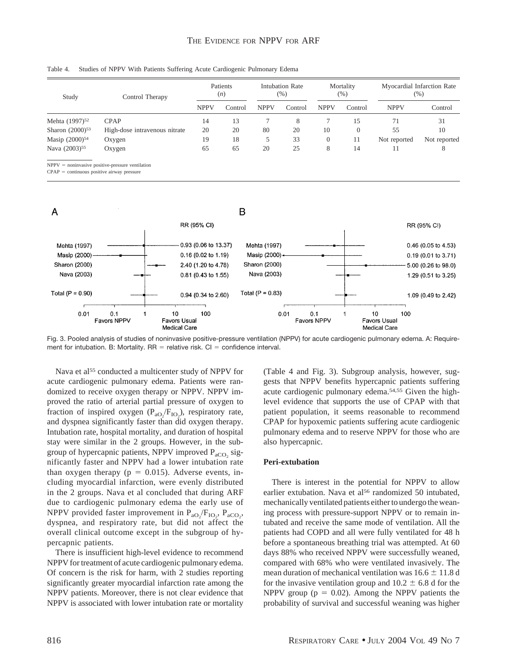| Table 4. |  |  |  | . Studies of NPPV With Patients Suffering Acute Cardiogenic Pulmonary Edema |  |
|----------|--|--|--|-----------------------------------------------------------------------------|--|
|          |  |  |  |                                                                             |  |

| Study                      | Control Therapy               | Patients<br>(n) |         | <b>Intubation Rate</b><br>$(\%)$ |         | Mortality<br>$(\%)$ |          | Myocardial Infarction Rate<br>$(\%)$ |              |
|----------------------------|-------------------------------|-----------------|---------|----------------------------------|---------|---------------------|----------|--------------------------------------|--------------|
|                            |                               | <b>NPPV</b>     | Control | <b>NPPV</b>                      | Control | <b>NPPV</b>         | Control  | <b>NPPV</b>                          | Control      |
| Mehta (1997) <sup>52</sup> | <b>CPAP</b>                   | 14              | 13      |                                  | 8       |                     | 15       |                                      | 31           |
| Sharon $(2000)^{53}$       | High-dose intravenous nitrate | 20              | 20      | 80                               | 20      | 10                  | $\theta$ | 55                                   | 10           |
| Masip (2000) <sup>54</sup> | Oxygen                        | 19              | 18      | 5                                | 33      | $\overline{0}$      | 11       | Not reported                         | Not reported |
| Nava (2003) <sup>55</sup>  | Oxygen                        | 65              | 65      | 20                               | 25      | 8                   | 14       |                                      | 8            |

 $NPPV = noninvasive positive-pressure ventilation$ 

 $CPAP =$  continuous positive airway pressure



Fig. 3. Pooled analysis of studies of noninvasive positive-pressure ventilation (NPPV) for acute cardiogenic pulmonary edema. A: Requirement for intubation. B: Mortality.  $RR =$  relative risk.  $Cl =$  confidence interval.

Nava et al<sup>55</sup> conducted a multicenter study of NPPV for acute cardiogenic pulmonary edema. Patients were randomized to receive oxygen therapy or NPPV. NPPV improved the ratio of arterial partial pressure of oxygen to fraction of inspired oxygen  $(P_{aO_2}/F_{IO_2})$ , respiratory rate, and dyspnea significantly faster than did oxygen therapy. Intubation rate, hospital mortality, and duration of hospital stay were similar in the 2 groups. However, in the subgroup of hypercapnic patients, NPPV improved  $P_{aCO_2}$  significantly faster and NPPV had a lower intubation rate than oxygen therapy ( $p = 0.015$ ). Adverse events, including myocardial infarction, were evenly distributed in the 2 groups. Nava et al concluded that during ARF due to cardiogenic pulmonary edema the early use of NPPV provided faster improvement in  $P_{aO_2}/F_{IO_2}$ ,  $P_{aCO_2}$ , dyspnea, and respiratory rate, but did not affect the overall clinical outcome except in the subgroup of hypercapnic patients.

There is insufficient high-level evidence to recommend NPPV for treatment of acute cardiogenic pulmonary edema. Of concern is the risk for harm, with 2 studies reporting significantly greater myocardial infarction rate among the NPPV patients. Moreover, there is not clear evidence that NPPV is associated with lower intubation rate or mortality

(Table 4 and Fig. 3). Subgroup analysis, however, suggests that NPPV benefits hypercapnic patients suffering acute cardiogenic pulmonary edema.54,55 Given the highlevel evidence that supports the use of CPAP with that patient population, it seems reasonable to recommend CPAP for hypoxemic patients suffering acute cardiogenic pulmonary edema and to reserve NPPV for those who are also hypercapnic.

## **Peri-extubation**

There is interest in the potential for NPPV to allow earlier extubation. Nava et al<sup>56</sup> randomized 50 intubated, mechanically ventilated patients either to undergo the weaning process with pressure-support NPPV or to remain intubated and receive the same mode of ventilation. All the patients had COPD and all were fully ventilated for 48 h before a spontaneous breathing trial was attempted. At 60 days 88% who received NPPV were successfully weaned, compared with 68% who were ventilated invasively. The mean duration of mechanical ventilation was  $16.6 \pm 11.8$  d for the invasive ventilation group and  $10.2 \pm 6.8$  d for the NPPV group ( $p = 0.02$ ). Among the NPPV patients the probability of survival and successful weaning was higher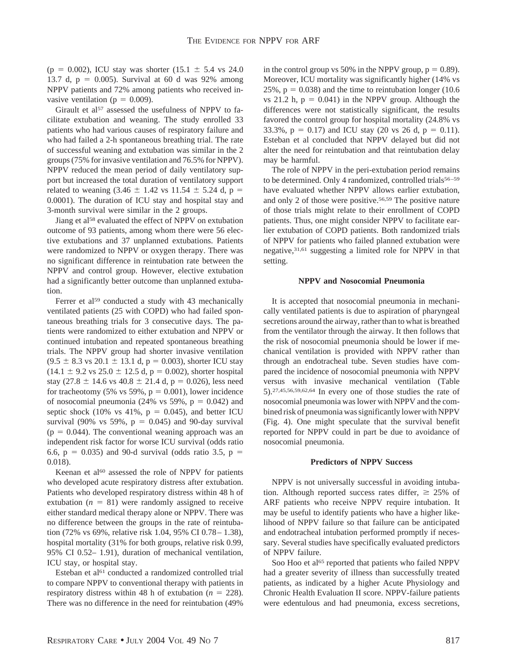(p = 0.002), ICU stay was shorter (15.1  $\pm$  5.4 vs 24.0) 13.7 d,  $p = 0.005$ ). Survival at 60 d was 92% among NPPV patients and 72% among patients who received invasive ventilation ( $p = 0.009$ ).

Girault et al<sup>57</sup> assessed the usefulness of NPPV to facilitate extubation and weaning. The study enrolled 33 patients who had various causes of respiratory failure and who had failed a 2-h spontaneous breathing trial. The rate of successful weaning and extubation was similar in the 2 groups (75% for invasive ventilation and 76.5% for NPPV). NPPV reduced the mean period of daily ventilatory support but increased the total duration of ventilatory support related to weaning  $(3.46 \pm 1.42 \text{ vs } 11.54 \pm 5.24 \text{ d}, \text{p} =$ 0.0001). The duration of ICU stay and hospital stay and 3-month survival were similar in the 2 groups.

Jiang et al<sup>58</sup> evaluated the effect of NPPV on extubation outcome of 93 patients, among whom there were 56 elective extubations and 37 unplanned extubations. Patients were randomized to NPPV or oxygen therapy. There was no significant difference in reintubation rate between the NPPV and control group. However, elective extubation had a significantly better outcome than unplanned extubation.

Ferrer et al<sup>59</sup> conducted a study with 43 mechanically ventilated patients (25 with COPD) who had failed spontaneous breathing trials for 3 consecutive days. The patients were randomized to either extubation and NPPV or continued intubation and repeated spontaneous breathing trials. The NPPV group had shorter invasive ventilation  $(9.5 \pm 8.3 \text{ vs } 20.1 \pm 13.1 \text{ d}, p = 0.003)$ , shorter ICU stay  $(14.1 \pm 9.2 \text{ vs } 25.0 \pm 12.5 \text{ d}, p = 0.002)$ , shorter hospital stay (27.8  $\pm$  14.6 vs 40.8  $\pm$  21.4 d, p = 0.026), less need for tracheotomy (5% vs 59%,  $p = 0.001$ ), lower incidence of nosocomial pneumonia (24% vs 59%,  $p = 0.042$ ) and septic shock (10% vs 41%,  $p = 0.045$ ), and better ICU survival (90% vs 59%,  $p = 0.045$ ) and 90-day survival  $(p = 0.044)$ . The conventional weaning approach was an independent risk factor for worse ICU survival (odds ratio 6.6,  $p = 0.035$ ) and 90-d survival (odds ratio 3.5,  $p =$ 0.018).

Keenan et al<sup>60</sup> assessed the role of NPPV for patients who developed acute respiratory distress after extubation. Patients who developed respiratory distress within 48 h of extubation  $(n = 81)$  were randomly assigned to receive either standard medical therapy alone or NPPV. There was no difference between the groups in the rate of reintubation (72% vs 69%, relative risk 1.04, 95% CI 0.78– 1.38), hospital mortality (31% for both groups, relative risk 0.99, 95% CI 0.52– 1.91), duration of mechanical ventilation, ICU stay, or hospital stay.

Esteban et al<sup>61</sup> conducted a randomized controlled trial to compare NPPV to conventional therapy with patients in respiratory distress within 48 h of extubation  $(n = 228)$ . There was no difference in the need for reintubation (49%

in the control group vs 50% in the NPPV group,  $p = 0.89$ ). Moreover, ICU mortality was significantly higher (14% vs 25%,  $p = 0.038$ ) and the time to reintubation longer (10.6) vs 21.2 h,  $p = 0.041$ ) in the NPPV group. Although the differences were not statistically significant, the results favored the control group for hospital mortality (24.8% vs 33.3%,  $p = 0.17$  and ICU stay (20 vs 26 d,  $p = 0.11$ ). Esteban et al concluded that NPPV delayed but did not alter the need for reintubation and that reintubation delay may be harmful.

The role of NPPV in the peri-extubation period remains to be determined. Only 4 randomized, controlled trials<sup>56-59</sup> have evaluated whether NPPV allows earlier extubation, and only 2 of those were positive.56,59 The positive nature of those trials might relate to their enrollment of COPD patients. Thus, one might consider NPPV to facilitate earlier extubation of COPD patients. Both randomized trials of NPPV for patients who failed planned extubation were negative,31,61 suggesting a limited role for NPPV in that setting.

### **NPPV and Nosocomial Pneumonia**

It is accepted that nosocomial pneumonia in mechanically ventilated patients is due to aspiration of pharyngeal secretions around the airway, rather than to what is breathed from the ventilator through the airway. It then follows that the risk of nosocomial pneumonia should be lower if mechanical ventilation is provided with NPPV rather than through an endotracheal tube. Seven studies have compared the incidence of nosocomial pneumonia with NPPV versus with invasive mechanical ventilation (Table 5).27,45,56,59,62,64 In every one of those studies the rate of nosocomial pneumonia was lower with NPPV and the combined risk of pneumonia was significantly lower with NPPV (Fig. 4). One might speculate that the survival benefit reported for NPPV could in part be due to avoidance of nosocomial pneumonia.

## **Predictors of NPPV Success**

NPPV is not universally successful in avoiding intubation. Although reported success rates differ,  $\geq 25\%$  of ARF patients who receive NPPV require intubation. It may be useful to identify patients who have a higher likelihood of NPPV failure so that failure can be anticipated and endotracheal intubation performed promptly if necessary. Several studies have specifically evaluated predictors of NPPV failure.

Soo Hoo et al<sup>65</sup> reported that patients who failed NPPV had a greater severity of illness than successfully treated patients, as indicated by a higher Acute Physiology and Chronic Health Evaluation II score. NPPV-failure patients were edentulous and had pneumonia, excess secretions,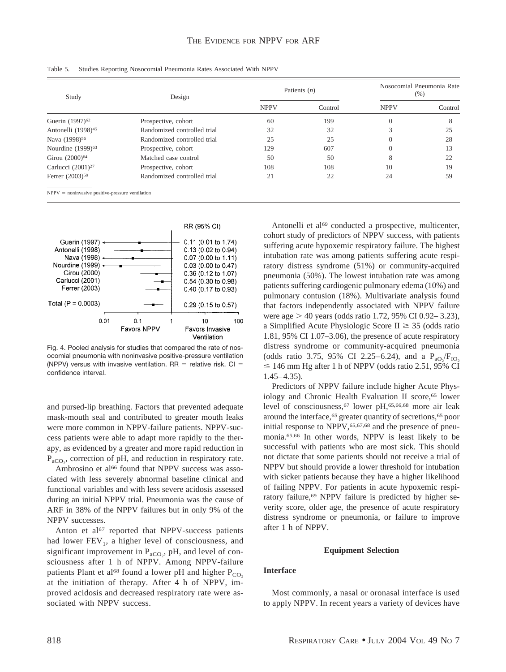| Study                          | Design                      |                        | Patients $(n)$ | Nosocomial Pneumonia Rate<br>$(\% )$ |         |  |
|--------------------------------|-----------------------------|------------------------|----------------|--------------------------------------|---------|--|
|                                |                             | <b>NPPV</b><br>Control |                | <b>NPPV</b>                          | Control |  |
| Guerin (1997) <sup>62</sup>    | Prospective, cohort         | 60                     | 199            | $\overline{0}$                       | 8       |  |
| Antonelli (1998) <sup>45</sup> | Randomized controlled trial | 32                     | 32             |                                      | 25      |  |
| Nava (1998) <sup>56</sup>      | Randomized controlled trial | 25                     | 25             | 0                                    | 28      |  |
| Nourdine (1999) <sup>63</sup>  | Prospective, cohort         | 129                    | 607            | 0                                    | 13      |  |
| Girou (2000) <sup>64</sup>     | Matched case control        | 50                     | 50             | 8                                    | 22      |  |
| Carlucci (2001) <sup>27</sup>  | Prospective, cohort         | 108                    | 108            | 10                                   | 19      |  |
| Ferrer (2003) <sup>59</sup>    | Randomized controlled trial | 21                     | 22             | 24                                   | 59      |  |

Table 5. Studies Reporting Nosocomial Pneumonia Rates Associated With NPPV

 $NPPV = noninvasive positive-pressure ventilation$ 



Fig. 4. Pooled analysis for studies that compared the rate of nosocomial pneumonia with noninvasive positive-pressure ventilation (NPPV) versus with invasive ventilation.  $RR =$  relative risk.  $Cl =$ confidence interval.

and pursed-lip breathing. Factors that prevented adequate mask-mouth seal and contributed to greater mouth leaks were more common in NPPV-failure patients. NPPV-success patients were able to adapt more rapidly to the therapy, as evidenced by a greater and more rapid reduction in  $P_{aCO_2}$ , correction of pH, and reduction in respiratory rate.

Ambrosino et al<sup>66</sup> found that NPPV success was associated with less severely abnormal baseline clinical and functional variables and with less severe acidosis assessed during an initial NPPV trial. Pneumonia was the cause of ARF in 38% of the NPPV failures but in only 9% of the NPPV successes.

Anton et al<sup>67</sup> reported that NPPV-success patients had lower  $FEV<sub>1</sub>$ , a higher level of consciousness, and significant improvement in  $P_{aCO_2}$ , pH, and level of consciousness after 1 h of NPPV. Among NPPV-failure patients Plant et al<sup>68</sup> found a lower pH and higher  $P_{CO_2}$ at the initiation of therapy. After 4 h of NPPV, improved acidosis and decreased respiratory rate were associated with NPPV success.

Antonelli et al<sup>69</sup> conducted a prospective, multicenter, cohort study of predictors of NPPV success, with patients suffering acute hypoxemic respiratory failure. The highest intubation rate was among patients suffering acute respiratory distress syndrome (51%) or community-acquired pneumonia (50%). The lowest intubation rate was among patients suffering cardiogenic pulmonary edema (10%) and pulmonary contusion (18%). Multivariate analysis found that factors independently associated with NPPV failure were age  $> 40$  years (odds ratio 1.72, 95% CI 0.92–3.23), a Simplified Acute Physiologic Score II  $\geq$  35 (odds ratio 1.81, 95% CI 1.07–3.06), the presence of acute respiratory distress syndrome or community-acquired pneumonia (odds ratio 3.75, 95% CI 2.25–6.24), and a  $P_{aO_2}/F_{IO_2}$  $\leq$  146 mm Hg after 1 h of NPPV (odds ratio 2.51, 95% CI 1.45–4.35).

Predictors of NPPV failure include higher Acute Physiology and Chronic Health Evaluation II score,<sup>65</sup> lower level of consciousness,67 lower pH,65,66,68 more air leak around the interface,<sup>65</sup> greater quantity of secretions,<sup>65</sup> poor initial response to NPPV, 65,67,68 and the presence of pneumonia.65,66 In other words, NPPV is least likely to be successful with patients who are most sick. This should not dictate that some patients should not receive a trial of NPPV but should provide a lower threshold for intubation with sicker patients because they have a higher likelihood of failing NPPV. For patients in acute hypoxemic respiratory failure,<sup>69</sup> NPPV failure is predicted by higher severity score, older age, the presence of acute respiratory distress syndrome or pneumonia, or failure to improve after 1 h of NPPV.

#### **Equipment Selection**

#### **Interface**

Most commonly, a nasal or oronasal interface is used to apply NPPV. In recent years a variety of devices have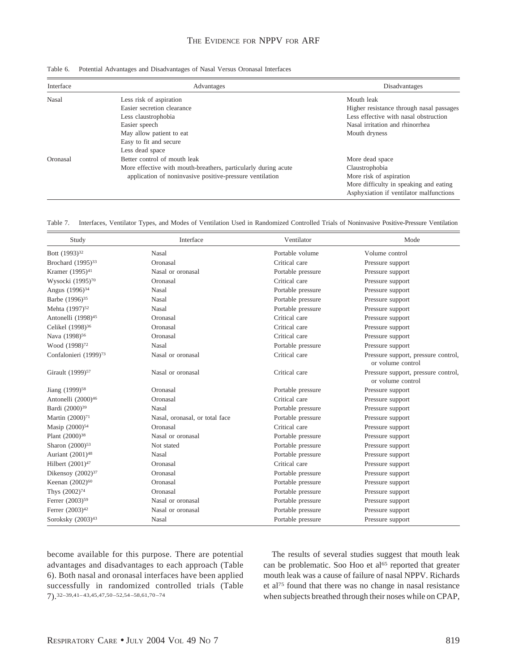| Table 6. Potential Advantages and Disadvantages of Nasal Versus Oronasal Interfaces |  |
|-------------------------------------------------------------------------------------|--|
|                                                                                     |  |

| Interface    | Advantages                                                     | Disadvantages                            |
|--------------|----------------------------------------------------------------|------------------------------------------|
| <b>Nasal</b> | Less risk of aspiration                                        | Mouth leak                               |
|              | Easier secretion clearance                                     | Higher resistance through nasal passages |
|              | Less claustrophobia                                            | Less effective with nasal obstruction    |
|              | Easier speech                                                  | Nasal irritation and rhinorrhea          |
|              | May allow patient to eat                                       | Mouth dryness                            |
|              | Easy to fit and secure                                         |                                          |
|              | Less dead space                                                |                                          |
| Oronasal     | Better control of mouth leak                                   | More dead space                          |
|              | More effective with mouth-breathers, particularly during acute | Claustrophobia                           |
|              | application of noninvasive positive-pressure ventilation       | More risk of aspiration                  |
|              |                                                                | More difficulty in speaking and eating   |
|              |                                                                | Asphyxiation if ventilator malfunctions  |

Table 7. Interfaces, Ventilator Types, and Modes of Ventilation Used in Randomized Controlled Trials of Noninvasive Positive-Pressure Ventilation

| Study                             | Interface                      | Ventilator        | Mode                                                     |
|-----------------------------------|--------------------------------|-------------------|----------------------------------------------------------|
| Bott (1993) <sup>32</sup>         | Nasal                          | Portable volume   | Volume control                                           |
| Brochard $(1995)^{33}$            | Oronasal                       | Critical care     | Pressure support                                         |
| Kramer (1995) <sup>41</sup>       | Nasal or oronasal              | Portable pressure | Pressure support                                         |
| Wysocki (1995)70                  | Oronasal                       | Critical care     | Pressure support                                         |
| Angus (1996) <sup>34</sup>        | <b>Nasal</b>                   | Portable pressure | Pressure support                                         |
| Barbe (1996) <sup>35</sup>        | Nasal                          | Portable pressure | Pressure support                                         |
| Mehta (1997) <sup>52</sup>        | <b>Nasal</b>                   | Portable pressure | Pressure support                                         |
| Antonelli (1998) <sup>45</sup>    | Oronasal                       | Critical care     | Pressure support                                         |
| Celikel (1998) <sup>36</sup>      | Oronasal                       | Critical care     | Pressure support                                         |
| Nava (1998) <sup>56</sup>         | Oronasal                       | Critical care     | Pressure support                                         |
| Wood (1998) <sup>72</sup>         | Nasal                          | Portable pressure | Pressure support                                         |
| Confalonieri (1999) <sup>73</sup> | Nasal or oronasal              | Critical care     | Pressure support, pressure control,<br>or volume control |
| Girault (1999) <sup>57</sup>      | Nasal or oronasal              | Critical care     | Pressure support, pressure control,<br>or volume control |
| Jiang (1999) <sup>58</sup>        | Oronasal                       | Portable pressure | Pressure support                                         |
| Antonelli (2000) <sup>46</sup>    | Oronasal                       | Critical care     | Pressure support                                         |
| Bardi (2000) <sup>39</sup>        | <b>Nasal</b>                   | Portable pressure | Pressure support                                         |
| Martin (2000) <sup>71</sup>       | Nasal, oronasal, or total face | Portable pressure | Pressure support                                         |
| Masip (2000) <sup>54</sup>        | Oronasal                       | Critical care     | Pressure support                                         |
| Plant (2000) <sup>38</sup>        | Nasal or oronasal              | Portable pressure | Pressure support                                         |
| Sharon (2000) <sup>53</sup>       | Not stated                     | Portable pressure | Pressure support                                         |
| Auriant (2001) <sup>48</sup>      | Nasal                          | Portable pressure | Pressure support                                         |
| Hilbert (2001) <sup>47</sup>      | Oronasal                       | Critical care     | Pressure support                                         |
| Dikensoy $(2002)^{37}$            | Oronasal                       | Portable pressure | Pressure support                                         |
| Keenan (2002) <sup>60</sup>       | Oronasal                       | Portable pressure | Pressure support                                         |
| Thys (2002) <sup>74</sup>         | Oronasal                       | Portable pressure | Pressure support                                         |
| Ferrer (2003) <sup>59</sup>       | Nasal or oronasal              | Portable pressure | Pressure support                                         |
| Ferrer (2003) <sup>42</sup>       | Nasal or oronasal              | Portable pressure | Pressure support                                         |
| Soroksky (2003) <sup>43</sup>     | Nasal                          | Portable pressure | Pressure support                                         |

become available for this purpose. There are potential advantages and disadvantages to each approach (Table 6). Both nasal and oronasal interfaces have been applied successfully in randomized controlled trials (Table 7).32–39,41– 43,45,47,50 –52,54 –58,61,70 –74

The results of several studies suggest that mouth leak can be problematic. Soo Hoo et al<sup>65</sup> reported that greater mouth leak was a cause of failure of nasal NPPV. Richards et al75 found that there was no change in nasal resistance when subjects breathed through their noses while on CPAP,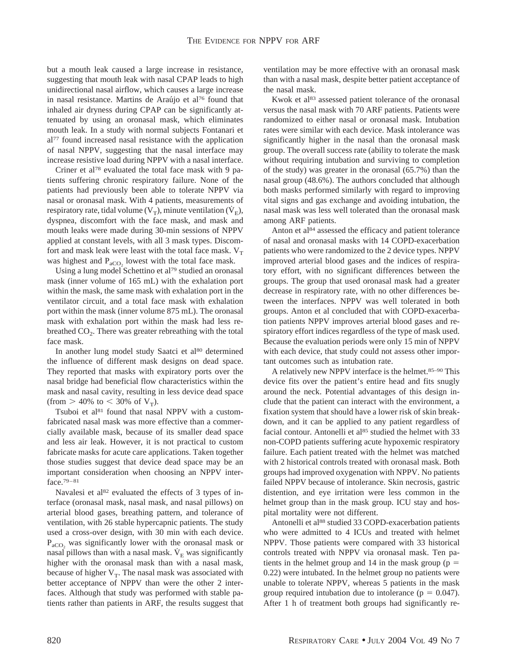but a mouth leak caused a large increase in resistance, suggesting that mouth leak with nasal CPAP leads to high unidirectional nasal airflow, which causes a large increase in nasal resistance. Martins de Araújo et al<sup>76</sup> found that inhaled air dryness during CPAP can be significantly attenuated by using an oronasal mask, which eliminates mouth leak. In a study with normal subjects Fontanari et al77 found increased nasal resistance with the application of nasal NPPV, suggesting that the nasal interface may increase resistive load during NPPV with a nasal interface.

Criner et al78 evaluated the total face mask with 9 patients suffering chronic respiratory failure. None of the patients had previously been able to tolerate NPPV via nasal or oronasal mask. With 4 patients, measurements of respiratory rate, tidal volume ( $V_T$ ), minute ventilation ( $\dot{V}_F$ ), dyspnea, discomfort with the face mask, and mask and mouth leaks were made during 30-min sessions of NPPV applied at constant levels, with all 3 mask types. Discomfort and mask leak were least with the total face mask.  $V_T$ was highest and  $P_{aCO_2}$  lowest with the total face mask.

Using a lung model Schettino et al79 studied an oronasal mask (inner volume of 165 mL) with the exhalation port within the mask, the same mask with exhalation port in the ventilator circuit, and a total face mask with exhalation port within the mask (inner volume 875 mL). The oronasal mask with exhalation port within the mask had less rebreathed  $CO<sub>2</sub>$ . There was greater rebreathing with the total face mask.

In another lung model study Saatci et al<sup>80</sup> determined the influence of different mask designs on dead space. They reported that masks with expiratory ports over the nasal bridge had beneficial flow characteristics within the mask and nasal cavity, resulting in less device dead space (from  $> 40\%$  to  $< 30\%$  of  $V_T$ ).

Tsuboi et al<sup>81</sup> found that nasal NPPV with a customfabricated nasal mask was more effective than a commercially available mask, because of its smaller dead space and less air leak. However, it is not practical to custom fabricate masks for acute care applications. Taken together those studies suggest that device dead space may be an important consideration when choosing an NPPV interface.79–81

Navalesi et al<sup>82</sup> evaluated the effects of 3 types of interface (oronasal mask, nasal mask, and nasal pillows) on arterial blood gases, breathing pattern, and tolerance of ventilation, with 26 stable hypercapnic patients. The study used a cross-over design, with 30 min with each device.  $P_{aCO}$ , was significantly lower with the oronasal mask or nasal pillows than with a nasal mask.  $\dot{V}_E$  was significantly higher with the oronasal mask than with a nasal mask, because of higher  $V_T$ . The nasal mask was associated with better acceptance of NPPV than were the other 2 interfaces. Although that study was performed with stable patients rather than patients in ARF, the results suggest that ventilation may be more effective with an oronasal mask than with a nasal mask, despite better patient acceptance of the nasal mask.

Kwok et al<sup>83</sup> assessed patient tolerance of the oronasal versus the nasal mask with 70 ARF patients. Patients were randomized to either nasal or oronasal mask. Intubation rates were similar with each device. Mask intolerance was significantly higher in the nasal than the oronasal mask group. The overall success rate (ability to tolerate the mask without requiring intubation and surviving to completion of the study) was greater in the oronasal (65.7%) than the nasal group (48.6%). The authors concluded that although both masks performed similarly with regard to improving vital signs and gas exchange and avoiding intubation, the nasal mask was less well tolerated than the oronasal mask among ARF patients.

Anton et al<sup>84</sup> assessed the efficacy and patient tolerance of nasal and oronasal masks with 14 COPD-exacerbation patients who were randomized to the 2 device types. NPPV improved arterial blood gases and the indices of respiratory effort, with no significant differences between the groups. The group that used oronasal mask had a greater decrease in respiratory rate, with no other differences between the interfaces. NPPV was well tolerated in both groups. Anton et al concluded that with COPD-exacerbation patients NPPV improves arterial blood gases and respiratory effort indices regardless of the type of mask used. Because the evaluation periods were only 15 min of NPPV with each device, that study could not assess other important outcomes such as intubation rate.

A relatively new NPPV interface is the helmet.85–90 This device fits over the patient's entire head and fits snugly around the neck. Potential advantages of this design include that the patient can interact with the environment, a fixation system that should have a lower risk of skin breakdown, and it can be applied to any patient regardless of facial contour. Antonelli et al<sup>85</sup> studied the helmet with 33 non-COPD patients suffering acute hypoxemic respiratory failure. Each patient treated with the helmet was matched with 2 historical controls treated with oronasal mask. Both groups had improved oxygenation with NPPV. No patients failed NPPV because of intolerance. Skin necrosis, gastric distention, and eye irritation were less common in the helmet group than in the mask group. ICU stay and hospital mortality were not different.

Antonelli et al<sup>88</sup> studied 33 COPD-exacerbation patients who were admitted to 4 ICUs and treated with helmet NPPV. Those patients were compared with 33 historical controls treated with NPPV via oronasal mask. Ten patients in the helmet group and 14 in the mask group ( $p =$ 0.22) were intubated. In the helmet group no patients were unable to tolerate NPPV, whereas 5 patients in the mask group required intubation due to intolerance ( $p = 0.047$ ). After 1 h of treatment both groups had significantly re-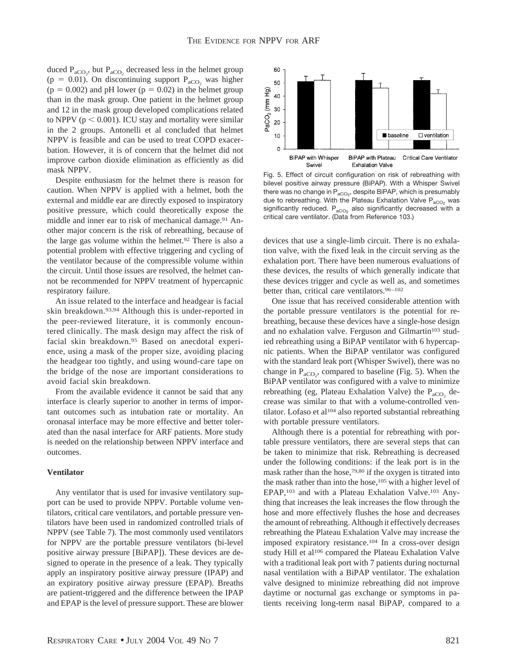duced  $P_{aCO_2}$ , but  $P_{aCO_2}$  decreased less in the helmet group (p = 0.01). On discontinuing support  $P_{aCO_2}$  was higher  $(p = 0.002)$  and pH lower  $(p = 0.02)$  in the helmet group than in the mask group. One patient in the helmet group and 12 in the mask group developed complications related to NPPV ( $p < 0.001$ ). ICU stay and mortality were similar in the 2 groups. Antonelli et al concluded that helmet NPPV is feasible and can be used to treat COPD exacerbation. However, it is of concern that the helmet did not improve carbon dioxide elimination as efficiently as did mask NPPV.

Despite enthusiasm for the helmet there is reason for caution. When NPPV is applied with a helmet, both the external and middle ear are directly exposed to inspiratory positive pressure, which could theoretically expose the middle and inner ear to risk of mechanical damage.<sup>91</sup> Another major concern is the risk of rebreathing, because of the large gas volume within the helmet.92 There is also a potential problem with effective triggering and cycling of the ventilator because of the compressible volume within the circuit. Until those issues are resolved, the helmet cannot be recommended for NPPV treatment of hypercapnic respiratory failure.

An issue related to the interface and headgear is facial skin breakdown.93,94 Although this is under-reported in the peer-reviewed literature, it is commonly encountered clinically. The mask design may affect the risk of facial skin breakdown.95 Based on anecdotal experience, using a mask of the proper size, avoiding placing the headgear too tightly, and using wound-care tape on the bridge of the nose are important considerations to avoid facial skin breakdown.

From the available evidence it cannot be said that any interface is clearly superior to another in terms of important outcomes such as intubation rate or mortality. An oronasal interface may be more effective and better tolerated than the nasal interface for ARF patients. More study is needed on the relationship between NPPV interface and outcomes.

## **Ventilator**

Any ventilator that is used for invasive ventilatory support can be used to provide NPPV. Portable volume ventilators, critical care ventilators, and portable pressure ventilators have been used in randomized controlled trials of NPPV (see Table 7). The most commonly used ventilators for NPPV are the portable pressure ventilators (bi-level positive airway pressure [BiPAP]). These devices are designed to operate in the presence of a leak. They typically apply an inspiratory positive airway pressure (IPAP) and an expiratory positive airway pressure (EPAP). Breaths are patient-triggered and the difference between the IPAP and EPAP is the level of pressure support. These are blower



Fig. 5. Effect of circuit configuration on risk of rebreathing with bilevel positive airway pressure (BiPAP). With a Whisper Swivel there was no change in  $\mathsf{P}_{\mathsf{aCO}_2^2},$  despite BiPAP, which is presumably due to rebreathing. With the Plateau Exhalation Valve  $P_{aCO_2}$  was significantly reduced.  $P_{aCO_2}$  also significantly decreased with a critical care ventilator. (Data from Reference 103.)

devices that use a single-limb circuit. There is no exhalation valve, with the fixed leak in the circuit serving as the exhalation port. There have been numerous evaluations of these devices, the results of which generally indicate that these devices trigger and cycle as well as, and sometimes better than, critical care ventilators.<sup>96-102</sup>

One issue that has received considerable attention with the portable pressure ventilators is the potential for rebreathing, because these devices have a single-hose design and no exhalation valve. Ferguson and Gilmartin<sup>103</sup> studied rebreathing using a BiPAP ventilator with 6 hypercapnic patients. When the BiPAP ventilator was configured with the standard leak port (Whisper Swivel), there was no change in  $P_{aCO_2}$ , compared to baseline (Fig. 5). When the BiPAP ventilator was configured with a valve to minimize rebreathing (eg, Plateau Exhalation Valve) the  $P_{aCO_2}$  decrease was similar to that with a volume-controlled ventilator. Lofaso et al<sup>104</sup> also reported substantial rebreathing with portable pressure ventilators.

Although there is a potential for rebreathing with portable pressure ventilators, there are several steps that can be taken to minimize that risk. Rebreathing is decreased under the following conditions: if the leak port is in the mask rather than the hose,79,80 if the oxygen is titrated into the mask rather than into the hose,<sup>105</sup> with a higher level of EPAP,103 and with a Plateau Exhalation Valve.103 Anything that increases the leak increases the flow through the hose and more effectively flushes the hose and decreases the amount of rebreathing. Although it effectively decreases rebreathing the Plateau Exhalation Valve may increase the imposed expiratory resistance.104 In a cross-over design study Hill et al<sup>106</sup> compared the Plateau Exhalation Valve with a traditional leak port with 7 patients during nocturnal nasal ventilation with a BiPAP ventilator. The exhalation valve designed to minimize rebreathing did not improve daytime or nocturnal gas exchange or symptoms in patients receiving long-term nasal BiPAP, compared to a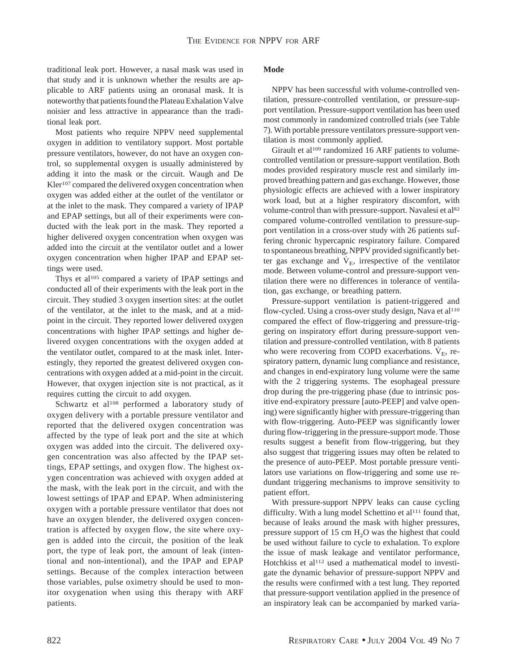traditional leak port. However, a nasal mask was used in that study and it is unknown whether the results are applicable to ARF patients using an oronasal mask. It is noteworthy that patients found the Plateau Exhalation Valve noisier and less attractive in appearance than the traditional leak port.

Most patients who require NPPV need supplemental oxygen in addition to ventilatory support. Most portable pressure ventilators, however, do not have an oxygen control, so supplemental oxygen is usually administered by adding it into the mask or the circuit. Waugh and De Kler<sup>107</sup> compared the delivered oxygen concentration when oxygen was added either at the outlet of the ventilator or at the inlet to the mask. They compared a variety of IPAP and EPAP settings, but all of their experiments were conducted with the leak port in the mask. They reported a higher delivered oxygen concentration when oxygen was added into the circuit at the ventilator outlet and a lower oxygen concentration when higher IPAP and EPAP settings were used.

Thys et al<sup>105</sup> compared a variety of IPAP settings and conducted all of their experiments with the leak port in the circuit. They studied 3 oxygen insertion sites: at the outlet of the ventilator, at the inlet to the mask, and at a midpoint in the circuit. They reported lower delivered oxygen concentrations with higher IPAP settings and higher delivered oxygen concentrations with the oxygen added at the ventilator outlet, compared to at the mask inlet. Interestingly, they reported the greatest delivered oxygen concentrations with oxygen added at a mid-point in the circuit. However, that oxygen injection site is not practical, as it requires cutting the circuit to add oxygen.

Schwartz et al<sup>108</sup> performed a laboratory study of oxygen delivery with a portable pressure ventilator and reported that the delivered oxygen concentration was affected by the type of leak port and the site at which oxygen was added into the circuit. The delivered oxygen concentration was also affected by the IPAP settings, EPAP settings, and oxygen flow. The highest oxygen concentration was achieved with oxygen added at the mask, with the leak port in the circuit, and with the lowest settings of IPAP and EPAP. When administering oxygen with a portable pressure ventilator that does not have an oxygen blender, the delivered oxygen concentration is affected by oxygen flow, the site where oxygen is added into the circuit, the position of the leak port, the type of leak port, the amount of leak (intentional and non-intentional), and the IPAP and EPAP settings. Because of the complex interaction between those variables, pulse oximetry should be used to monitor oxygenation when using this therapy with ARF patients.

# **Mode**

NPPV has been successful with volume-controlled ventilation, pressure-controlled ventilation, or pressure-support ventilation. Pressure-support ventilation has been used most commonly in randomized controlled trials (see Table 7). With portable pressure ventilators pressure-support ventilation is most commonly applied.

Girault et al<sup>109</sup> randomized 16 ARF patients to volumecontrolled ventilation or pressure-support ventilation. Both modes provided respiratory muscle rest and similarly improved breathing pattern and gas exchange. However, those physiologic effects are achieved with a lower inspiratory work load, but at a higher respiratory discomfort, with volume-control than with pressure-support. Navalesi et al<sup>82</sup> compared volume-controlled ventilation to pressure-support ventilation in a cross-over study with 26 patients suffering chronic hypercapnic respiratory failure. Compared to spontaneous breathing, NPPV provided significantly better gas exchange and  $\dot{V}_E$ , irrespective of the ventilator mode. Between volume-control and pressure-support ventilation there were no differences in tolerance of ventilation, gas exchange, or breathing pattern.

Pressure-support ventilation is patient-triggered and flow-cycled. Using a cross-over study design, Nava et al<sup>110</sup> compared the effect of flow-triggering and pressure-triggering on inspiratory effort during pressure-support ventilation and pressure-controlled ventilation, with 8 patients who were recovering from COPD exacerbations.  $\dot{V}_{E}$ , respiratory pattern, dynamic lung compliance and resistance, and changes in end-expiratory lung volume were the same with the 2 triggering systems. The esophageal pressure drop during the pre-triggering phase (due to intrinsic positive end-expiratory pressure [auto-PEEP] and valve opening) were significantly higher with pressure-triggering than with flow-triggering. Auto-PEEP was significantly lower during flow-triggering in the pressure-support mode. Those results suggest a benefit from flow-triggering, but they also suggest that triggering issues may often be related to the presence of auto-PEEP. Most portable pressure ventilators use variations on flow-triggering and some use redundant triggering mechanisms to improve sensitivity to patient effort.

With pressure-support NPPV leaks can cause cycling difficulty. With a lung model Schettino et al<sup>111</sup> found that, because of leaks around the mask with higher pressures, pressure support of  $15 \text{ cm H}_2\text{O}$  was the highest that could be used without failure to cycle to exhalation. To explore the issue of mask leakage and ventilator performance, Hotchkiss et al<sup>112</sup> used a mathematical model to investigate the dynamic behavior of pressure-support NPPV and the results were confirmed with a test lung. They reported that pressure-support ventilation applied in the presence of an inspiratory leak can be accompanied by marked varia-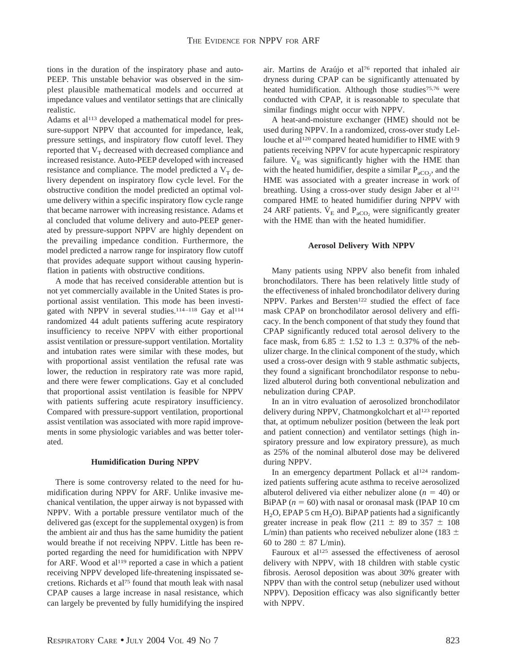tions in the duration of the inspiratory phase and auto-PEEP. This unstable behavior was observed in the simplest plausible mathematical models and occurred at impedance values and ventilator settings that are clinically realistic.

Adams et al<sup>113</sup> developed a mathematical model for pressure-support NPPV that accounted for impedance, leak, pressure settings, and inspiratory flow cutoff level. They reported that  $V_T$  decreased with decreased compliance and increased resistance. Auto-PEEP developed with increased resistance and compliance. The model predicted a  $V<sub>T</sub>$  delivery dependent on inspiratory flow cycle level. For the obstructive condition the model predicted an optimal volume delivery within a specific inspiratory flow cycle range that became narrower with increasing resistance. Adams et al concluded that volume delivery and auto-PEEP generated by pressure-support NPPV are highly dependent on the prevailing impedance condition. Furthermore, the model predicted a narrow range for inspiratory flow cutoff that provides adequate support without causing hyperinflation in patients with obstructive conditions.

A mode that has received considerable attention but is not yet commercially available in the United States is proportional assist ventilation. This mode has been investigated with NPPV in several studies.<sup>114-118</sup> Gay et al<sup>114</sup> randomized 44 adult patients suffering acute respiratory insufficiency to receive NPPV with either proportional assist ventilation or pressure-support ventilation. Mortality and intubation rates were similar with these modes, but with proportional assist ventilation the refusal rate was lower, the reduction in respiratory rate was more rapid, and there were fewer complications. Gay et al concluded that proportional assist ventilation is feasible for NPPV with patients suffering acute respiratory insufficiency. Compared with pressure-support ventilation, proportional assist ventilation was associated with more rapid improvements in some physiologic variables and was better tolerated.

#### **Humidification During NPPV**

There is some controversy related to the need for humidification during NPPV for ARF. Unlike invasive mechanical ventilation, the upper airway is not bypassed with NPPV. With a portable pressure ventilator much of the delivered gas (except for the supplemental oxygen) is from the ambient air and thus has the same humidity the patient would breathe if not receiving NPPV. Little has been reported regarding the need for humidification with NPPV for ARF. Wood et al<sup>119</sup> reported a case in which a patient receiving NPPV developed life-threatening inspissated secretions. Richards et al75 found that mouth leak with nasal CPAP causes a large increase in nasal resistance, which can largely be prevented by fully humidifying the inspired air. Martins de Araújo et al<sup>76</sup> reported that inhaled air dryness during CPAP can be significantly attenuated by heated humidification. Although those studies<sup>75,76</sup> were conducted with CPAP, it is reasonable to speculate that similar findings might occur with NPPV.

A heat-and-moisture exchanger (HME) should not be used during NPPV. In a randomized, cross-over study Lellouche et al<sup>120</sup> compared heated humidifier to HME with 9 patients receiving NPPV for acute hypercapnic respiratory failure.  $V<sub>E</sub>$  was significantly higher with the HME than with the heated humidifier, despite a similar  $P_{aCO_2}$ , and the HME was associated with a greater increase in work of breathing. Using a cross-over study design Jaber et al<sup>121</sup> compared HME to heated humidifier during NPPV with 24 ARF patients.  $\dot{V}_E$  and  $P_{aCO}$ , were significantly greater with the HME than with the heated humidifier.

#### **Aerosol Delivery With NPPV**

Many patients using NPPV also benefit from inhaled bronchodilators. There has been relatively little study of the effectiveness of inhaled bronchodilator delivery during NPPV. Parkes and Bersten<sup>122</sup> studied the effect of face mask CPAP on bronchodilator aerosol delivery and efficacy. In the bench component of that study they found that CPAP significantly reduced total aerosol delivery to the face mask, from 6.85  $\pm$  1.52 to 1.3  $\pm$  0.37% of the nebulizer charge. In the clinical component of the study, which used a cross-over design with 9 stable asthmatic subjects, they found a significant bronchodilator response to nebulized albuterol during both conventional nebulization and nebulization during CPAP.

In an in vitro evaluation of aerosolized bronchodilator delivery during NPPV, Chatmongkolchart et al<sup>123</sup> reported that, at optimum nebulizer position (between the leak port and patient connection) and ventilator settings (high inspiratory pressure and low expiratory pressure), as much as 25% of the nominal albuterol dose may be delivered during NPPV.

In an emergency department Pollack et al<sup>124</sup> randomized patients suffering acute asthma to receive aerosolized albuterol delivered via either nebulizer alone  $(n = 40)$  or BiPAP  $(n = 60)$  with nasal or oronasal mask (IPAP 10 cm  $H<sub>2</sub>O$ , EPAP 5 cm  $H<sub>2</sub>O$ ). BiPAP patients had a significantly greater increase in peak flow (211  $\pm$  89 to 357  $\pm$  108 L/min) than patients who received nebulizer alone (183  $\pm$ 60 to 280  $\pm$  87 L/min).

Fauroux et al<sup>125</sup> assessed the effectiveness of aerosol delivery with NPPV, with 18 children with stable cystic fibrosis. Aerosol deposition was about 30% greater with NPPV than with the control setup (nebulizer used without NPPV). Deposition efficacy was also significantly better with NPPV.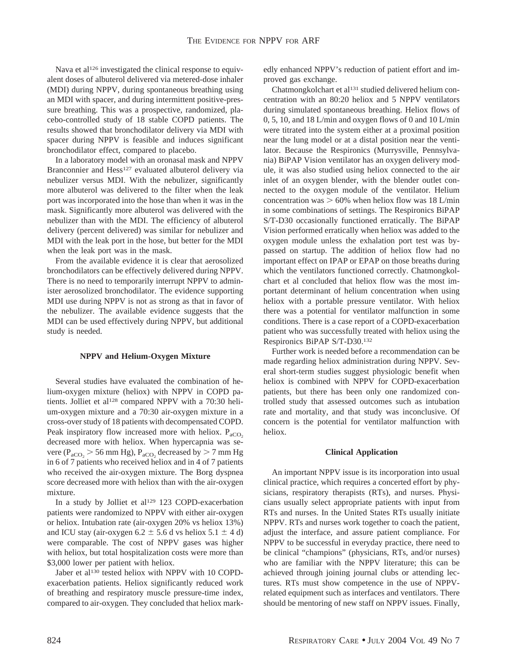Nava et al<sup>126</sup> investigated the clinical response to equivalent doses of albuterol delivered via metered-dose inhaler (MDI) during NPPV, during spontaneous breathing using an MDI with spacer, and during intermittent positive-pressure breathing. This was a prospective, randomized, placebo-controlled study of 18 stable COPD patients. The results showed that bronchodilator delivery via MDI with spacer during NPPV is feasible and induces significant bronchodilator effect, compared to placebo.

In a laboratory model with an oronasal mask and NPPV Branconnier and Hess<sup>127</sup> evaluated albuterol delivery via nebulizer versus MDI. With the nebulizer, significantly more albuterol was delivered to the filter when the leak port was incorporated into the hose than when it was in the mask. Significantly more albuterol was delivered with the nebulizer than with the MDI. The efficiency of albuterol delivery (percent delivered) was similar for nebulizer and MDI with the leak port in the hose, but better for the MDI when the leak port was in the mask.

From the available evidence it is clear that aerosolized bronchodilators can be effectively delivered during NPPV. There is no need to temporarily interrupt NPPV to administer aerosolized bronchodilator. The evidence supporting MDI use during NPPV is not as strong as that in favor of the nebulizer. The available evidence suggests that the MDI can be used effectively during NPPV, but additional study is needed.

## **NPPV and Helium-Oxygen Mixture**

Several studies have evaluated the combination of helium-oxygen mixture (heliox) with NPPV in COPD patients. Jolliet et al<sup>128</sup> compared NPPV with a 70:30 helium-oxygen mixture and a 70:30 air-oxygen mixture in a cross-over study of 18 patients with decompensated COPD. Peak inspiratory flow increased more with heliox.  $P_{aCO_2}$ decreased more with heliox. When hypercapnia was severe ( $P_{aCO_2}$  > 56 mm Hg),  $P_{aCO_2}$  decreased by > 7 mm Hg in 6 of 7 patients who received heliox and in 4 of 7 patients who received the air-oxygen mixture. The Borg dyspnea score decreased more with heliox than with the air-oxygen mixture.

In a study by Jolliet et al<sup>129</sup> 123 COPD-exacerbation patients were randomized to NPPV with either air-oxygen or heliox. Intubation rate (air-oxygen 20% vs heliox 13%) and ICU stay (air-oxygen 6.2  $\pm$  5.6 d vs heliox 5.1  $\pm$  4 d) were comparable. The cost of NPPV gases was higher with heliox, but total hospitalization costs were more than \$3,000 lower per patient with heliox.

Jaber et al<sup>130</sup> tested heliox with NPPV with 10 COPDexacerbation patients. Heliox significantly reduced work of breathing and respiratory muscle pressure-time index, compared to air-oxygen. They concluded that heliox markedly enhanced NPPV's reduction of patient effort and improved gas exchange.

Chatmongkolchart et al<sup>131</sup> studied delivered helium concentration with an 80:20 heliox and 5 NPPV ventilators during simulated spontaneous breathing. Heliox flows of 0, 5, 10, and 18 L/min and oxygen flows of 0 and 10 L/min were titrated into the system either at a proximal position near the lung model or at a distal position near the ventilator. Because the Respironics (Murrysville, Pennsylvania) BiPAP Vision ventilator has an oxygen delivery module, it was also studied using heliox connected to the air inlet of an oxygen blender, with the blender outlet connected to the oxygen module of the ventilator. Helium concentration was  $> 60\%$  when heliox flow was 18 L/min in some combinations of settings. The Respironics BiPAP S/T-D30 occasionally functioned erratically. The BiPAP Vision performed erratically when heliox was added to the oxygen module unless the exhalation port test was bypassed on startup. The addition of heliox flow had no important effect on IPAP or EPAP on those breaths during which the ventilators functioned correctly. Chatmongkolchart et al concluded that heliox flow was the most important determinant of helium concentration when using heliox with a portable pressure ventilator. With heliox there was a potential for ventilator malfunction in some conditions. There is a case report of a COPD-exacerbation patient who was successfully treated with heliox using the Respironics BiPAP S/T-D30.132

Further work is needed before a recommendation can be made regarding heliox administration during NPPV. Several short-term studies suggest physiologic benefit when heliox is combined with NPPV for COPD-exacerbation patients, but there has been only one randomized controlled study that assessed outcomes such as intubation rate and mortality, and that study was inconclusive. Of concern is the potential for ventilator malfunction with heliox.

## **Clinical Application**

An important NPPV issue is its incorporation into usual clinical practice, which requires a concerted effort by physicians, respiratory therapists (RTs), and nurses. Physicians usually select appropriate patients with input from RTs and nurses. In the United States RTs usually initiate NPPV. RTs and nurses work together to coach the patient, adjust the interface, and assure patient compliance. For NPPV to be successful in everyday practice, there need to be clinical "champions" (physicians, RTs, and/or nurses) who are familiar with the NPPV literature; this can be achieved through joining journal clubs or attending lectures. RTs must show competence in the use of NPPVrelated equipment such as interfaces and ventilators. There should be mentoring of new staff on NPPV issues. Finally,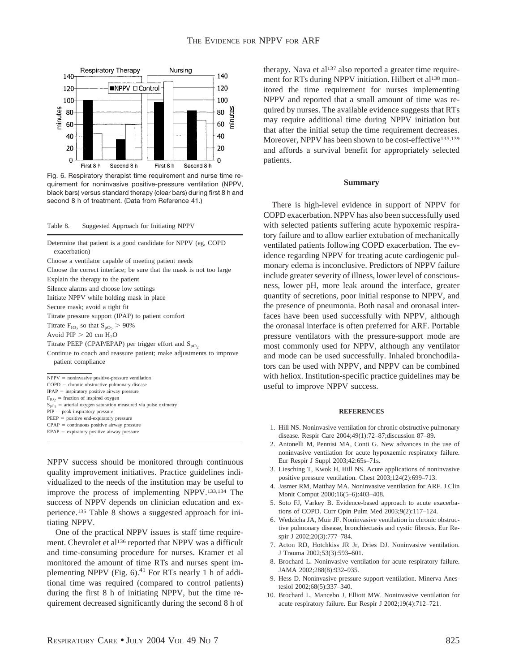

Fig. 6. Respiratory therapist time requirement and nurse time requirement for noninvasive positive-pressure ventilation (NPPV, black bars) versus standard therapy (clear bars) during first 8 h and second 8 h of treatment. (Data from Reference 41.)

Table 8. Suggested Approach for Initiating NPPV

Determine that patient is a good candidate for NPPV (eg, COPD exacerbation) Choose a ventilator capable of meeting patient needs Choose the correct interface; be sure that the mask is not too large Explain the therapy to the patient Silence alarms and choose low settings Initiate NPPV while holding mask in place Secure mask; avoid a tight fit Titrate pressure support (IPAP) to patient comfort Titrate  $F_{IO_2}$  so that  $S_{PO_2} > 90\%$ Avoid  $PIP > 20$  cm  $H<sub>2</sub>O$ Titrate PEEP (CPAP/EPAP) per trigger effort and  $S_{pO_2}$ Continue to coach and reassure patient; make adjustments to improve patient compliance  $NPPV = noninvasive positive-pressure ventilation$  $COPD =$  chronic obstructive pulmonary disease  $IPAP =$  inspiratory positive airway pressure  $F_{IO2}$  = fraction of inspired oxygen  $S_{pO2}$  = arterial oxygen saturation measured via pulse oximetry  $PIP = peak$  inspiratory pressure PEEP = positive end-expiratory pressure  $CPAP =$  continuous positive airway pressure  $EPAR =$  expiratory positive airway pressure

NPPV success should be monitored through continuous quality improvement initiatives. Practice guidelines individualized to the needs of the institution may be useful to improve the process of implementing NPPV.133,134 The success of NPPV depends on clinician education and experience.135 Table 8 shows a suggested approach for initiating NPPV.

One of the practical NPPV issues is staff time requirement. Chevrolet et al<sup>136</sup> reported that NPPV was a difficult and time-consuming procedure for nurses. Kramer et al monitored the amount of time RTs and nurses spent implementing NPPV (Fig.  $6$ ).<sup>41</sup> For RTs nearly 1 h of additional time was required (compared to control patients) during the first 8 h of initiating NPPV, but the time requirement decreased significantly during the second 8 h of therapy. Nava et al $137$  also reported a greater time requirement for RTs during NPPV initiation. Hilbert et al<sup>138</sup> monitored the time requirement for nurses implementing NPPV and reported that a small amount of time was required by nurses. The available evidence suggests that RTs may require additional time during NPPV initiation but that after the initial setup the time requirement decreases. Moreover, NPPV has been shown to be cost-effective<sup>135,139</sup> and affords a survival benefit for appropriately selected patients.

#### **Summary**

There is high-level evidence in support of NPPV for COPD exacerbation. NPPV has also been successfully used with selected patients suffering acute hypoxemic respiratory failure and to allow earlier extubation of mechanically ventilated patients following COPD exacerbation. The evidence regarding NPPV for treating acute cardiogenic pulmonary edema is inconclusive. Predictors of NPPV failure include greater severity of illness, lower level of consciousness, lower pH, more leak around the interface, greater quantity of secretions, poor initial response to NPPV, and the presence of pneumonia. Both nasal and oronasal interfaces have been used successfully with NPPV, although the oronasal interface is often preferred for ARF. Portable pressure ventilators with the pressure-support mode are most commonly used for NPPV, although any ventilator and mode can be used successfully. Inhaled bronchodilators can be used with NPPV, and NPPV can be combined with heliox. Institution-specific practice guidelines may be useful to improve NPPV success.

#### **REFERENCES**

- 1. Hill NS. Noninvasive ventilation for chronic obstructive pulmonary disease. Respir Care 2004;49(1):72–87;discussion 87–89.
- 2. Antonelli M, Pennisi MA, Conti G. New advances in the use of noninvasive ventilation for acute hypoxaemic respiratory failure. Eur Respir J Suppl 2003;42:65s–71s.
- 3. Liesching T, Kwok H, Hill NS. Acute applications of noninvasive positive pressure ventilation. Chest 2003;124(2):699–713.
- 4. Jasmer RM, Matthay MA. Noninvasive ventilation for ARF. J Clin Monit Comput 2000;16(5–6):403–408.
- 5. Soto FJ, Varkey B. Evidence-based approach to acute exacerbations of COPD. Curr Opin Pulm Med 2003;9(2):117–124.
- 6. Wedzicha JA, Muir JF. Noninvasive ventilation in chronic obstructive pulmonary disease, bronchiectasis and cystic fibrosis. Eur Respir J 2002;20(3):777–784.
- 7. Acton RD, Hotchkiss JR Jr, Dries DJ. Noninvasive ventilation. J Trauma 2002;53(3):593–601.
- 8. Brochard L. Noninvasive ventilation for acute respiratory failure. JAMA 2002;288(8):932–935.
- 9. Hess D. Noninvasive pressure support ventilation. Minerva Anestesiol 2002;68(5):337–340.
- 10. Brochard L, Mancebo J, Elliott MW. Noninvasive ventilation for acute respiratory failure. Eur Respir J 2002;19(4):712–721.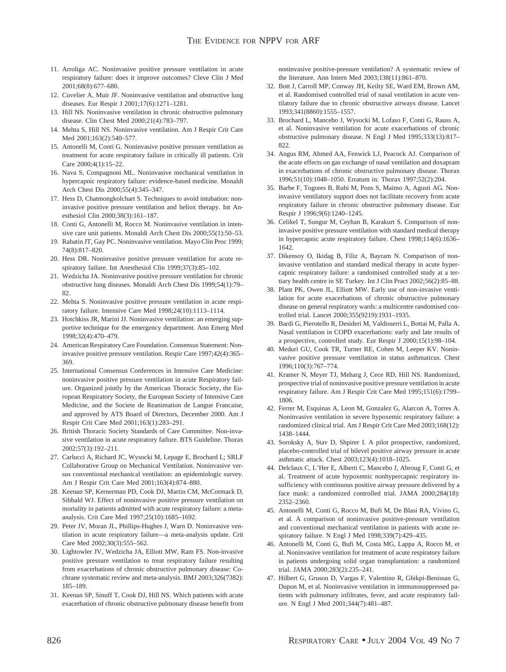- 11. Arroliga AC. Noninvasive positive pressure ventilation in acute respiratory failure: does it improve outcomes? Cleve Clin J Med 2001;68(8):677–680.
- 12. Cuvelier A, Muir JF. Noninvasive ventilation and obstructive lung diseases. Eur Respir J 2001;17(6):1271–1281.
- 13. Hill NS. Noninvasive ventilation in chronic obstructive pulmonary disease. Clin Chest Med 2000;21(4):783–797.
- 14. Mehta S, Hill NS. Noninvasive ventilation. Am J Respir Crit Care Med 2001;163(2):540–577.
- 15. Antonelli M, Conti G. Noninvasive positive pressure ventilation as treatment for acute respiratory failure in critically ill patients. Crit Care 2000;4(1):15–22.
- 16. Nava S, Compagnoni ML. Noninvasive mechanical ventilation in hypercapnic respiratory failure: evidence-based medicine. Monaldi Arch Chest Dis 2000;55(4):345–347.
- 17. Hess D, Chatmongkolchart S. Techniques to avoid intubation: noninvasive positive pressure ventilation and heliox therapy. Int Anesthesiol Clin 2000;38(3):161–187.
- 18. Conti G, Antonelli M, Rocco M. Noninvasive ventilation in intensive care unit patients. Monaldi Arch Chest Dis 2000;55(1):50–53.
- 19. Rabatin JT, Gay PC. Noninvasive ventilation. Mayo Clin Proc 1999; 74(8):817–820.
- 20. Hess DR. Noninvasive positive pressure ventilation for acute respiratory failure. Int Anesthesiol Clin 1999;37(3):85–102.
- 21. Wedzicha JA. Noninvasive positive pressure ventilation for chronic obstructive lung diseases. Monaldi Arch Chest Dis 1999;54(1):79– 82.
- 22. Mehta S. Noninvasive positive pressure ventilation in acute respiratory failure. Intensive Care Med 1998;24(10):1113–1114.
- 23. Hotchkiss JR, Marini JJ. Noninvasive ventilation: an emerging supportive technique for the emergency department. Ann Emerg Med 1998;32(4):470–479.
- 24. American Respiratory Care Foundation. Consensus Statement: Noninvasive positive pressure ventilation. Respir Care 1997;42(4):365– 369.
- 25. International Consensus Conferences in Intensive Care Medicine: noninvasive positive pressure ventilation in acute Respiratory failure. Organized jointly by the American Thoracic Society, the European Respiratory Society, the European Society of Intensive Care Medicine, and the Societe de Reanimation de Langue Francaise, and approved by ATS Board of Directors, December 2000. Am J Respir Crit Care Med 2001;163(1):283–291.
- 26. British Thoracic Society Standards of Care Committee. Non-invasive ventilation in acute respiratory failure. BTS Guideline. Thorax 2002;57(3):192–211.
- 27. Carlucci A, Richard JC, Wysocki M, Lepage E, Brochard L; SRLF Collaborative Group on Mechanical Ventilation. Noninvasive versus conventional mechanical ventilation: an epidemiologic survey. Am J Respir Crit Care Med 2001;163(4):874–880.
- 28. Keenan SP, Kernerman PD, Cook DJ, Martin CM, McCormack D, Sibbald WJ. Effect of noninvasive positive pressure ventilation on mortality in patients admitted with acute respiratory failure: a metaanalysis. Crit Care Med 1997;25(10):1685–1692.
- 29. Peter JV, Moran JL, Phillips-Hughes J, Warn D. Noninvasive ventilation in acute respiratory failure—a meta-analysis update. Crit Care Med 2002;30(3):555–562.
- 30. Lightowler JV, Wedzicha JA, Elliott MW, Ram FS. Non-invasive positive pressure ventilation to treat respiratory failure resulting from exacerbations of chronic obstructive pulmonary disease: Cochrane systematic review and meta-analysis. BMJ 2003;326(7382): 185–189.
- 31. Keenan SP, Sinuff T, Cook DJ, Hill NS. Which patients with acute exacerbation of chronic obstructive pulmonary disease benefit from

noninvasive positive-pressure ventilation? A systematic review of the literature. Ann Intern Med 2003;138(11):861–870.

- 32. Bott J, Carroll MP, Conway JH, Keilty SE, Ward EM, Brown AM, et al. Randomised controlled trial of nasal ventilation in acute ventilatory failure due to chronic obstructive airways disease. Lancet 1993;341(8860):1555–1557.
- 33. Brochard L, Mancebo J, Wysocki M, Lofaso F, Conti G, Rauss A, et al. Noninvasive ventilation for acute exacerbations of chronic obstructive pulmonary disease. N Engl J Med 1995;333(13):817– 822.
- 34. Angus RM, Ahmed AA, Fenwick LJ, Peacock AJ. Comparison of the acute effects on gas exchange of nasal ventilation and doxapram in exacerbations of chronic obstructive pulmonary disease. Thorax 1996;51(10):1048–1050. Erratum in: Thorax 1997;52(2):204.
- 35. Barbe F, Togores B, Rubi M, Pons S, Maimo A, Agusti AG. Noninvasive ventilatory support does not facilitate recovery from acute respiratory failure in chronic obstructive pulmonary disease. Eur Respir J 1996;9(6):1240–1245.
- 36. Celikel T, Sungur M, Ceyhan B, Karakurt S. Comparison of noninvasive positive pressure ventilation with standard medical therapy in hypercapnic acute respiratory failure. Chest 1998;114(6):1636– 1642.
- 37. Dikensoy O, Ikidag B, Filiz A, Bayram N. Comparison of noninvasive ventilation and standard medical therapy in acute hypercapnic respiratory failure: a randomised controlled study at a tertiary health centre in SE Turkey. Int J Clin Pract 2002;56(2):85–88.
- 38. Plant PK, Owen JL, Elliott MW. Early use of non-invasive ventilation for acute exacerbations of chronic obstructive pulmonary disease on general respiratory wards: a multicentre randomised controlled trial. Lancet 2000;355(9219):1931–1935.
- 39. Bardi G, Pierotello R, Desideri M, Valdisserri L, Bottai M, Palla A. Nasal ventilation in COPD exacerbations: early and late results of a prospective, controlled study. Eur Respir J 2000;15(1):98–104.
- 40. Meduri GU, Cook TR, Turner RE, Cohen M, Leeper KV. Noninvasive positive pressure ventilation in status asthmaticus. Chest 1996;110(3):767–774.
- 41. Kramer N, Meyer TJ, Meharg J, Cece RD, Hill NS. Randomized, prospective trial of noninvasive positive pressure ventilation in acute respiratory failure. Am J Respir Crit Care Med 1995;151(6):1799– 1806.
- 42. Ferrer M, Esquinas A, Leon M, Gonzalez G, Alarcon A, Torres A. Noninvasive ventilation in severe hypoxemic respiratory failure: a randomized clinical trial. Am J Respir Crit Care Med 2003;168(12): 1438–1444.
- 43. Soroksky A, Stav D, Shpirer I. A pilot prospective, randomized, placebo-controlled trial of bilevel positive airway pressure in acute asthmatic attack. Chest 2003;123(4):1018–1025.
- 44. Delclaux C, L'Her E, Alberti C, Mancebo J, Abroug F, Conti G, et al. Treatment of acute hypoxemic nonhypercapnic respiratory insufficiency with continuous positive airway pressure delivered by a face mask: a randomized controlled trial. JAMA 2000;284(18): 2352–2360.
- 45. Antonelli M, Conti G, Rocco M, Bufi M, De Blasi RA, Vivino G, et al. A comparison of noninvasive positive-pressure ventilation and conventional mechanical ventilation in patients with acute respiratory failure. N Engl J Med 1998;339(7):429–435.
- 46. Antonelli M, Conti G, Bufi M, Costa MG, Lappa A, Rocco M, et al. Noninvasive ventilation for treatment of acute respiratory failure in patients undergoing solid organ transplantation: a randomized trial. JAMA 2000;283(2):235–241.
- 47. Hilbert G, Gruson D, Vargas F, Valentino R, Gbikpi-Benissan G, Dupon M, et al. Noninvasive ventilation in immunosuppressed patients with pulmonary infiltrates, fever, and acute respiratory failure. N Engl J Med 2001;344(7):481–487.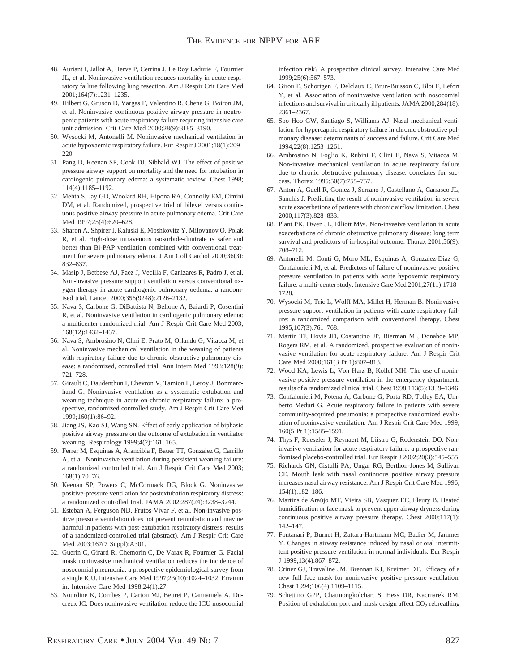- 48. Auriant I, Jallot A, Herve P, Cerrina J, Le Roy Ladurie F, Fournier JL, et al. Noninvasive ventilation reduces mortality in acute respiratory failure following lung resection. Am J Respir Crit Care Med 2001;164(7):1231–1235.
- 49. Hilbert G, Gruson D, Vargas F, Valentino R, Chene G, Boiron JM, et al. Noninvasive continuous positive airway pressure in neutropenic patients with acute respiratory failure requiring intensive care unit admission. Crit Care Med 2000;28(9):3185–3190.
- 50. Wysocki M, Antonelli M. Noninvasive mechanical ventilation in acute hypoxaemic respiratory failure. Eur Respir J 2001;18(1):209– 220.
- 51. Pang D, Keenan SP, Cook DJ, Sibbald WJ. The effect of positive pressure airway support on mortality and the need for intubation in cardiogenic pulmonary edema: a systematic review. Chest 1998; 114(4):1185–1192.
- 52. Mehta S, Jay GD, Woolard RH, Hipona RA, Connolly EM, Cimini DM, et al. Randomized, prospective trial of bilevel versus continuous positive airway pressure in acute pulmonary edema. Crit Care Med 1997;25(4):620–628.
- 53. Sharon A, Shpirer I, Kaluski E, Moshkovitz Y, Milovanov O, Polak R, et al. High-dose intravenous isosorbide-dinitrate is safer and better than Bi-PAP ventilation combined with conventional treatment for severe pulmonary edema. J Am Coll Cardiol 2000;36(3): 832–837.
- 54. Masip J, Betbese AJ, Paez J, Vecilla F, Canizares R, Padro J, et al. Non-invasive pressure support ventilation versus conventional oxygen therapy in acute cardiogenic pulmonary oedema: a randomised trial. Lancet 2000;356(9248):2126–2132.
- 55. Nava S, Carbone G, DiBattista N, Bellone A, Baiardi P, Cosentini R, et al. Noninvasive ventilation in cardiogenic pulmonary edema: a multicenter randomized rrial. Am J Respir Crit Care Med 2003; 168(12):1432–1437.
- 56. Nava S, Ambrosino N, Clini E, Prato M, Orlando G, Vitacca M, et al. Noninvasive mechanical ventilation in the weaning of patients with respiratory failure due to chronic obstructive pulmonary disease: a randomized, controlled trial. Ann Intern Med 1998;128(9): 721–728.
- 57. Girault C, Daudenthun I, Chevron V, Tamion F, Leroy J, Bonmarchand G. Noninvasive ventilation as a systematic extubation and weaning technique in acute-on-chronic respiratory failure: a prospective, randomized controlled study. Am J Respir Crit Care Med 1999;160(1):86–92.
- 58. Jiang JS, Kao SJ, Wang SN. Effect of early application of biphasic positive airway pressure on the outcome of extubation in ventilator weaning. Respirology 1999;4(2):161–165.
- 59. Ferrer M, Esquinas A, Arancibia F, Bauer TT, Gonzalez G, Carrillo A, et al. Noninvasive ventilation during persistent weaning failure: a randomized controlled trial. Am J Respir Crit Care Med 2003; 168(1):70–76.
- 60. Keenan SP, Powers C, McCormack DG, Block G. Noninvasive positive-pressure ventilation for postextubation respiratory distress: a randomized controlled trial. JAMA 2002;287(24):3238–3244.
- 61. Esteban A, Ferguson ND, Frutos-Vivar F, et al. Non-invasive positive pressure ventilation does not prevent reintubation and may ne harmful in patients with post-extubation respiratory distress: results of a randomized-controlled trial (abstract). Am J Respir Crit Care Med 2003;167(7 Suppl):A301.
- 62. Guerin C, Girard R, Chemorin C, De Varax R, Fournier G. Facial mask noninvasive mechanical ventilation reduces the incidence of nosocomial pneumonia: a prospective epidemiological survey from a single ICU. Intensive Care Med 1997;23(10):1024–1032. Erratum in: Intensive Care Med 1998;24(1):27.
- 63. Nourdine K, Combes P, Carton MJ, Beuret P, Cannamela A, Ducreux JC. Does noninvasive ventilation reduce the ICU nosocomial

infection risk? A prospective clinical survey. Intensive Care Med 1999;25(6):567–573.

- 64. Girou E, Schortgen F, Delclaux C, Brun-Buisson C, Blot F, Lefort Y, et al. Association of noninvasive ventilation with nosocomial infections and survival in critically ill patients. JAMA 2000;284(18): 2361–2367.
- 65. Soo Hoo GW, Santiago S, Williams AJ. Nasal mechanical ventilation for hypercapnic respiratory failure in chronic obstructive pulmonary disease: determinants of success and failure. Crit Care Med 1994;22(8):1253–1261.
- 66. Ambrosino N, Foglio K, Rubini F, Clini E, Nava S, Vitacca M. Non-invasive mechanical ventilation in acute respiratory failure due to chronic obstructive pulmonary disease: correlates for success. Thorax 1995;50(7):755–757.
- 67. Anton A, Guell R, Gomez J, Serrano J, Castellano A, Carrasco JL, Sanchis J. Predicting the result of noninvasive ventilation in severe acute exacerbations of patients with chronic airflow limitation. Chest 2000;117(3):828–833.
- 68. Plant PK, Owen JL, Elliott MW. Non-invasive ventilation in acute exacerbations of chronic obstructive pulmonary disease: long term survival and predictors of in-hospital outcome. Thorax  $2001;56(9)$ : 708–712.
- 69. Antonelli M, Conti G, Moro ML, Esquinas A, Gonzalez-Diaz G, Confalonieri M, et al. Predictors of failure of noninvasive positive pressure ventilation in patients with acute hypoxemic respiratory failure: a multi-center study. Intensive Care Med 2001;27(11):1718– 1728.
- 70. Wysocki M, Tric L, Wolff MA, Millet H, Herman B. Noninvasive pressure support ventilation in patients with acute respiratory failure: a randomized comparison with conventional therapy. Chest 1995;107(3):761–768.
- 71. Martin TJ, Hovis JD, Costantino JP, Bierman MI, Donahoe MP, Rogers RM, et al. A randomized, prospective evaluation of noninvasive ventilation for acute respiratory failure. Am J Respir Crit Care Med 2000;161(3 Pt 1):807–813.
- 72. Wood KA, Lewis L, Von Harz B, Kollef MH. The use of noninvasive positive pressure ventilation in the emergency department: results of a randomized clinical trial. Chest 1998;113(5):1339–1346.
- 73. Confalonieri M, Potena A, Carbone G, Porta RD, Tolley EA, Umberto Meduri G. Acute respiratory failure in patients with severe community-acquired pneumonia: a prospective randomized evaluation of noninvasive ventilation. Am J Respir Crit Care Med 1999; 160(5 Pt 1):1585–1591.
- 74. Thys F, Roeseler J, Reynaert M, Liistro G, Rodenstein DO. Noninvasive ventilation for acute respiratory failure: a prospective randomised placebo-controlled trial. Eur Respir J 2002;20(3):545–555.
- 75. Richards GN, Cistulli PA, Ungar RG, Berthon-Jones M, Sullivan CE. Mouth leak with nasal continuous positive airway pressure increases nasal airway resistance. Am J Respir Crit Care Med 1996; 154(1):182–186.
- 76. Martins de Arau´jo MT, Vieira SB, Vasquez EC, Fleury B. Heated humidification or face mask to prevent upper airway dryness during continuous positive airway pressure therapy. Chest 2000;117(1): 142–147.
- 77. Fontanari P, Burnet H, Zattara-Hartmann MC, Badier M, Jammes Y. Changes in airway resistance induced by nasal or oral intermittent positive pressure ventilation in normal individuals. Eur Respir J 1999;13(4):867–872.
- 78. Criner GJ, Travaline JM, Brennan KJ, Kreimer DT. Efficacy of a new full face mask for noninvasive positive pressure ventilation. Chest 1994;106(4):1109–1115.
- 79. Schettino GPP, Chatmongkolchart S, Hess DR, Kacmarek RM. Position of exhalation port and mask design affect  $CO<sub>2</sub>$  rebreathing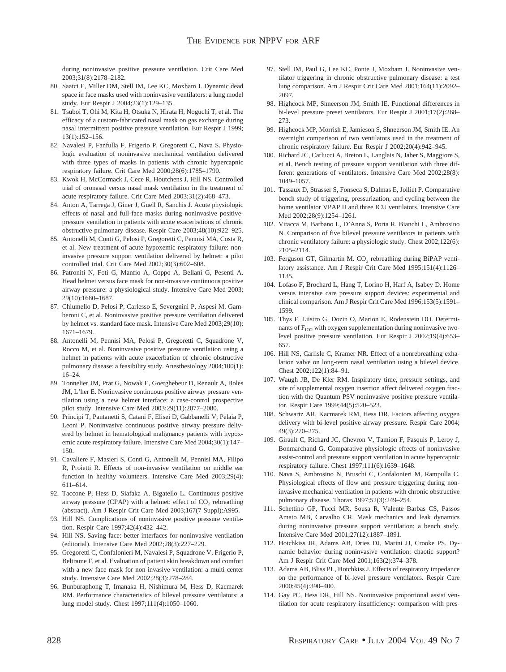during noninvasive positive pressure ventilation. Crit Care Med 2003;31(8):2178–2182.

- 80. Saatci E, Miller DM, Stell IM, Lee KC, Moxham J. Dynamic dead space in face masks used with noninvasive ventilators: a lung model study. Eur Respir J 2004;23(1):129–135.
- 81. Tsuboi T, Ohi M, Kita H, Otsuka N, Hirata H, Noguchi T, et al. The efficacy of a custom-fabricated nasal mask on gas exchange during nasal intermittent positive pressure ventilation. Eur Respir J 1999; 13(1):152–156.
- 82. Navalesi P, Fanfulla F, Frigerio P, Gregoretti C, Nava S. Physiologic evaluation of noninvasive mechanical ventilation delivered with three types of masks in patients with chronic hypercapnic respiratory failure. Crit Care Med 2000;28(6):1785–1790.
- 83. Kwok H, McCormack J, Cece R, Houtchens J, Hill NS. Controlled trial of oronasal versus nasal mask ventilation in the treatment of acute respiratory failure. Crit Care Med 2003;31(2):468–473.
- 84. Anton A, Tarrega J, Giner J, Guell R, Sanchis J. Acute physiologic effects of nasal and full-face masks during noninvasive positivepressure ventilation in patients with acute exacerbations of chronic obstructive pulmonary disease. Respir Care 2003;48(10):922–925.
- 85. Antonelli M, Conti G, Pelosi P, Gregoretti C, Pennisi MA, Costa R, et al. New treatment of acute hypoxemic respiratory failure: noninvasive pressure support ventilation delivered by helmet: a pilot controlled trial. Crit Care Med 2002;30(3):602–608.
- 86. Patroniti N, Foti G, Manfio A, Coppo A, Bellani G, Pesenti A. Head helmet versus face mask for non-invasive continuous positive airway pressure: a physiological study. Intensive Care Med 2003; 29(10):1680–1687.
- 87. Chiumello D, Pelosi P, Carlesso E, Severgnini P, Aspesi M, Gamberoni C, et al. Noninvasive positive pressure ventilation delivered by helmet vs. standard face mask. Intensive Care Med 2003;29(10): 1671–1679.
- 88. Antonelli M, Pennisi MA, Pelosi P, Gregoretti C, Squadrone V, Rocco M, et al. Noninvasive positive pressure ventilation using a helmet in patients with acute exacerbation of chronic obstructive pulmonary disease: a feasibility study. Anesthesiology 2004;100(1): 16–24.
- 89. Tonnelier JM, Prat G, Nowak E, Goetghebeur D, Renault A, Boles JM, L'her E. Noninvasive continuous positive airway pressure ventilation using a new helmet interface: a case-control prospective pilot study. Intensive Care Med 2003;29(11):2077–2080.
- 90. Principi T, Pantanetti S, Catani F, Elisei D, Gabbanelli V, Pelaia P, Leoni P. Noninvasive continuous positive airway pressure delivered by helmet in hematological malignancy patients with hypoxemic acute respiratory failure. Intensive Care Med 2004;30(1):147– 150.
- 91. Cavaliere F, Masieri S, Conti G, Antonelli M, Pennisi MA, Filipo R, Proietti R. Effects of non-invasive ventilation on middle ear function in healthy volunteers. Intensive Care Med 2003;29(4): 611–614.
- 92. Taccone P, Hess D, Siafaka A, Bigatello L. Continuous positive airway pressure (CPAP) with a helmet: effect of  $CO<sub>2</sub>$  rebreathing (abstract). Am J Respir Crit Care Med 2003;167(7 Suppl):A995.
- 93. Hill NS. Complications of noninvasive positive pressure ventilation. Respir Care 1997;42(4):432–442.
- 94. Hill NS. Saving face: better interfaces for noninvasive ventilation (editorial). Intensive Care Med 2002;28(3):227–229.
- 95. Gregoretti C, Confalonieri M, Navalesi P, Squadrone V, Frigerio P, Beltrame F, et al. Evaluation of patient skin breakdown and comfort with a new face mask for non-invasive ventilation: a multi-center study. Intensive Care Med 2002;28(3):278–284.
- 96. Bunburaphong T, Imanaka H, Nishimura M, Hess D, Kacmarek RM. Performance characteristics of bilevel pressure ventilators: a lung model study. Chest 1997;111(4):1050–1060.
- 97. Stell IM, Paul G, Lee KC, Ponte J, Moxham J. Noninvasive ventilator triggering in chronic obstructive pulmonary disease: a test lung comparison. Am J Respir Crit Care Med 2001;164(11):2092– 2097.
- 98. Highcock MP, Shneerson JM, Smith IE. Functional differences in bi-level pressure preset ventilators. Eur Respir J 2001;17(2):268– 273.
- 99. Highcock MP, Morrish E, Jamieson S, Shneerson JM, Smith IE. An overnight comparison of two ventilators used in the treatment of chronic respiratory failure. Eur Respir J 2002;20(4):942–945.
- 100. Richard JC, Carlucci A, Breton L, Langlais N, Jaber S, Maggiore S, et al. Bench testing of pressure support ventilation with three different generations of ventilators. Intensive Care Med 2002;28(8): 1049–1057.
- 101. Tassaux D, Strasser S, Fonseca S, Dalmas E, Jolliet P. Comparative bench study of triggering, pressurization, and cycling between the home ventilator VPAP II and three ICU ventilators. Intensive Care Med 2002;28(9):1254–1261.
- 102. Vitacca M, Barbano L, D'Anna S, Porta R, Bianchi L, Ambrosino N. Comparison of five bilevel pressure ventilators in patients with chronic ventilatory failure: a physiologic study. Chest 2002;122(6): 2105–2114.
- 103. Ferguson GT, Gilmartin M.  $CO<sub>2</sub>$  rebreathing during BiPAP ventilatory assistance. Am J Respir Crit Care Med 1995;151(4):1126– 1135.
- 104. Lofaso F, Brochard L, Hang T, Lorino H, Harf A, Isabey D. Home versus intensive care pressure support devices: experimental and clinical comparison. Am J Respir Crit Care Med 1996;153(5):1591– 1599.
- 105. Thys F, Liistro G, Dozin O, Marion E, Rodenstein DO. Determinants of  $F_{IO2}$  with oxygen supplementation during noninvasive twolevel positive pressure ventilation. Eur Respir J 2002;19(4):653– 657.
- 106. Hill NS, Carlisle C, Kramer NR. Effect of a nonrebreathing exhalation valve on long-term nasal ventilation using a bilevel device. Chest 2002;122(1):84–91.
- 107. Waugh JB, De Kler RM. Inspiratory time, pressure settings, and site of supplemental oxygen insertion affect delivered oxygen fraction with the Quantum PSV noninvasive positive pressure ventilator. Respir Care 1999;44(5):520–523.
- 108. Schwartz AR, Kacmarek RM, Hess DR. Factors affecting oxygen delivery with bi-level positive airway pressure. Respir Care 2004; 49(3):270–275.
- 109. Girault C, Richard JC, Chevron V, Tamion F, Pasquis P, Leroy J, Bonmarchand G. Comparative physiologic effects of noninvasive assist-control and pressure support ventilation in acute hypercapnic respiratory failure. Chest 1997;111(6):1639–1648.
- 110. Nava S, Ambrosino N, Bruschi C, Confalonieri M, Rampulla C. Physiological effects of flow and pressure triggering during noninvasive mechanical ventilation in patients with chronic obstructive pulmonary disease. Thorax 1997;52(3):249–254.
- 111. Schettino GP, Tucci MR, Sousa R, Valente Barbas CS, Passos Amato MB, Carvalho CR. Mask mechanics and leak dynamics during noninvasive pressure support ventilation: a bench study. Intensive Care Med 2001;27(12):1887–1891.
- 112. Hotchkiss JR, Adams AB, Dries DJ, Marini JJ, Crooke PS. Dynamic behavior during noninvasive ventilation: chaotic support? Am J Respir Crit Care Med 2001;163(2):374–378.
- 113. Adams AB, Bliss PL, Hotchkiss J. Effects of respiratory impedance on the performance of bi-level pressure ventilators. Respir Care 2000;45(4):390–400.
- 114. Gay PC, Hess DR, Hill NS. Noninvasive proportional assist ventilation for acute respiratory insufficiency: comparison with pres-